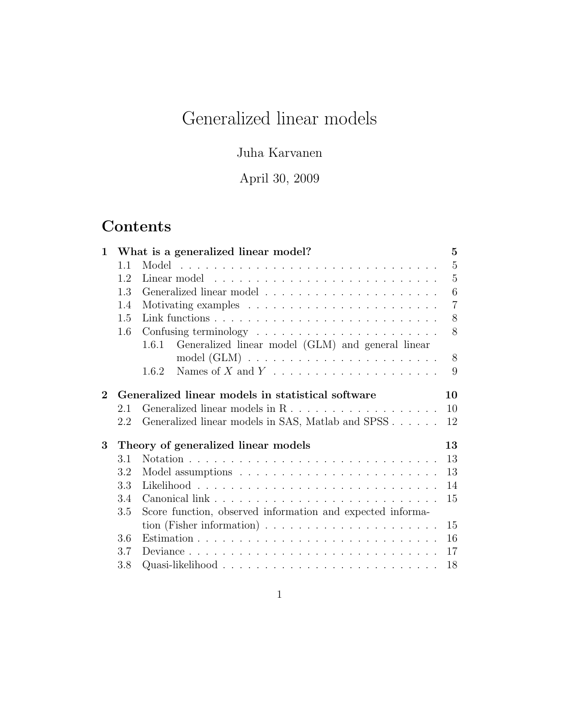# Generalized linear models

# Juha Karvanen

April 30, 2009

# Contents

| $\mathbf{1}$   |     | What is a generalized linear model?                                          | 5              |
|----------------|-----|------------------------------------------------------------------------------|----------------|
|                | 1.1 |                                                                              | $\overline{5}$ |
|                | 1.2 |                                                                              | 5              |
|                | 1.3 |                                                                              | 6              |
|                | 1.4 |                                                                              | $\overline{7}$ |
|                | 1.5 |                                                                              | 8              |
|                | 1.6 | Confusing terminology $\dots \dots \dots \dots \dots \dots \dots \dots$      | 8              |
|                |     | Generalized linear model (GLM) and general linear<br>1.6.1                   |                |
|                |     |                                                                              | 8              |
|                |     | 1.6.2                                                                        | 9              |
|                |     |                                                                              |                |
| $\overline{2}$ |     | Generalized linear models in statistical software                            | 10             |
|                | 2.1 | Generalized linear models in R                                               | 10             |
|                | 2.2 | Generalized linear models in SAS, Matlab and SPSS                            | 12             |
| 3              |     | Theory of generalized linear models                                          | 13             |
|                | 3.1 |                                                                              | 13             |
|                | 3.2 |                                                                              | 13             |
|                | 3.3 |                                                                              | 14             |
|                | 3.4 |                                                                              | 15             |
|                | 3.5 | Score function, observed information and expected informa-                   |                |
|                |     | tion (Fisher information) $\ldots \ldots \ldots \ldots \ldots \ldots \ldots$ | 15             |
|                | 3.6 |                                                                              | 16             |
|                | 3.7 |                                                                              | 17             |
|                | 3.8 |                                                                              | 18             |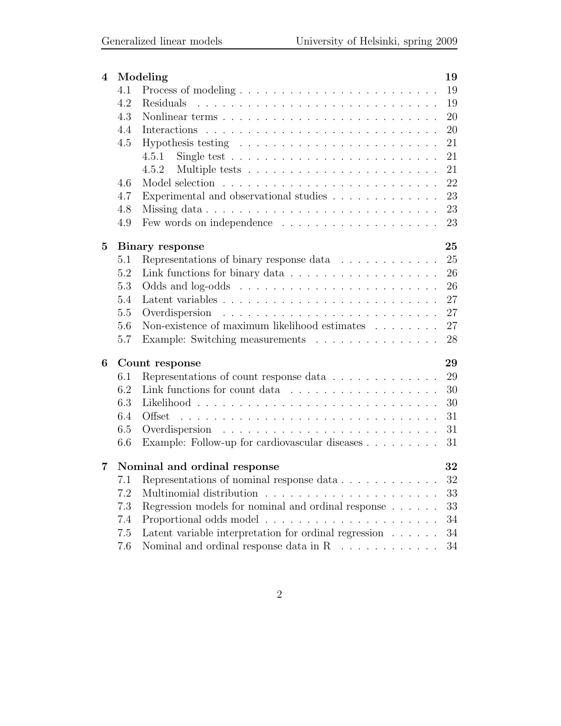| 4        |     | Modeling                                                                                                                  | 19 |
|----------|-----|---------------------------------------------------------------------------------------------------------------------------|----|
|          | 4.1 |                                                                                                                           | 19 |
|          | 4.2 |                                                                                                                           | 19 |
|          | 4.3 | Nonlinear terms                                                                                                           | 20 |
|          | 4.4 |                                                                                                                           | 20 |
|          | 4.5 | Hypothesis testing $\dots \dots \dots \dots \dots \dots \dots \dots \dots$                                                | 21 |
|          |     | 4.5.1<br>Single test $\dots \dots \dots \dots \dots \dots \dots \dots \dots \dots$                                        | 21 |
|          |     | 4.5.2                                                                                                                     | 21 |
|          | 4.6 |                                                                                                                           | 22 |
|          | 4.7 | Experimental and observational studies                                                                                    | 23 |
|          | 4.8 |                                                                                                                           | 23 |
|          | 4.9 |                                                                                                                           | 23 |
| $\bf{5}$ |     | Binary response                                                                                                           | 25 |
|          | 5.1 | Representations of binary response data                                                                                   | 25 |
|          | 5.2 |                                                                                                                           | 26 |
|          | 5.3 |                                                                                                                           | 26 |
|          | 5.4 |                                                                                                                           | 27 |
|          | 5.5 |                                                                                                                           | 27 |
|          | 5.6 | Non-existence of maximum likelihood estimates $\hfill\ldots$ $\ldots$ $\ldots$ .                                          | 27 |
|          | 5.7 | Example: Switching measurements                                                                                           | 28 |
| 6        |     | Count response                                                                                                            | 29 |
|          | 6.1 | Representations of count response data                                                                                    | 29 |
|          | 6.2 |                                                                                                                           | 30 |
|          | 6.3 |                                                                                                                           | 30 |
|          | 6.4 | Offset<br>the contract of the contract of the contract of the contract of the contract of the contract of the contract of | 31 |
|          | 6.5 |                                                                                                                           | 31 |
|          | 6.6 | Example: Follow-up for cardiovascular diseases                                                                            | 31 |
| 7        |     | Nominal and ordinal response                                                                                              | 32 |
|          |     | 7.1 Representations of nominal response data                                                                              | 32 |
|          | 7.2 |                                                                                                                           | 33 |
|          | 7.3 | Regression models for nominal and ordinal response                                                                        | 33 |
|          | 7.4 |                                                                                                                           | 34 |
|          | 7.5 | Latent variable interpretation for ordinal regression                                                                     | 34 |
|          | 7.6 | Nominal and ordinal response data in R $\;\ldots\; \ldots\; \ldots\; \ldots\; \ldots$                                     | 34 |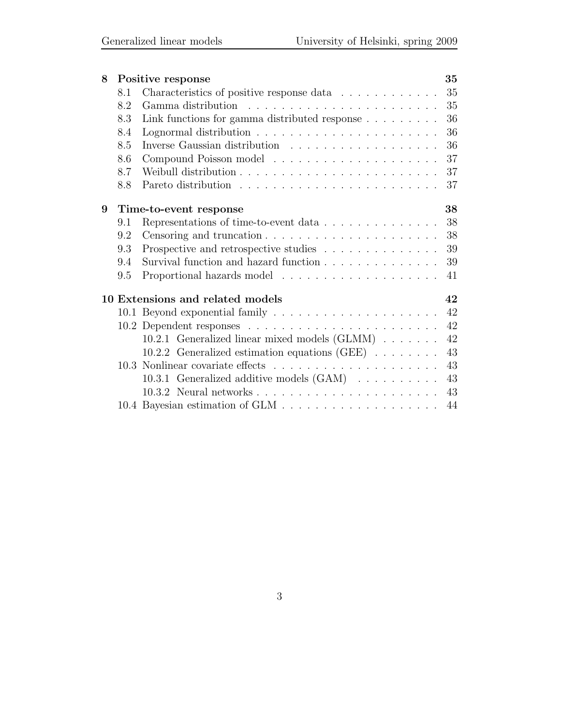| 8 |     | Positive response                                                   | 35 |
|---|-----|---------------------------------------------------------------------|----|
|   | 8.1 | Characteristics of positive response data                           | 35 |
|   | 8.2 |                                                                     | 35 |
|   | 8.3 | Link functions for gamma distributed response                       | 36 |
|   | 8.4 |                                                                     | 36 |
|   | 8.5 |                                                                     | 36 |
|   | 8.6 |                                                                     | 37 |
|   | 8.7 |                                                                     | 37 |
|   | 8.8 |                                                                     | 37 |
| 9 |     | Time-to-event response                                              | 38 |
|   | 9.1 | Representations of time-to-event data $\ldots \ldots \ldots \ldots$ | 38 |
|   | 9.2 | Censoring and truncation                                            | 38 |
|   | 9.3 | Prospective and retrospective studies                               | 39 |
|   | 9.4 | Survival function and hazard function                               | 39 |
|   | 9.5 |                                                                     | 41 |
|   |     | 10 Extensions and related models                                    | 42 |
|   |     |                                                                     | 42 |
|   |     |                                                                     | 42 |
|   |     | 10.2.1 Generalized linear mixed models (GLMM)                       | 42 |
|   |     | 10.2.2 Generalized estimation equations (GEE) $\ldots \ldots$       | 43 |
|   |     |                                                                     | 43 |
|   |     | 10.3.1 Generalized additive models $(GAM)$                          | 43 |
|   |     |                                                                     | 43 |
|   |     |                                                                     | 44 |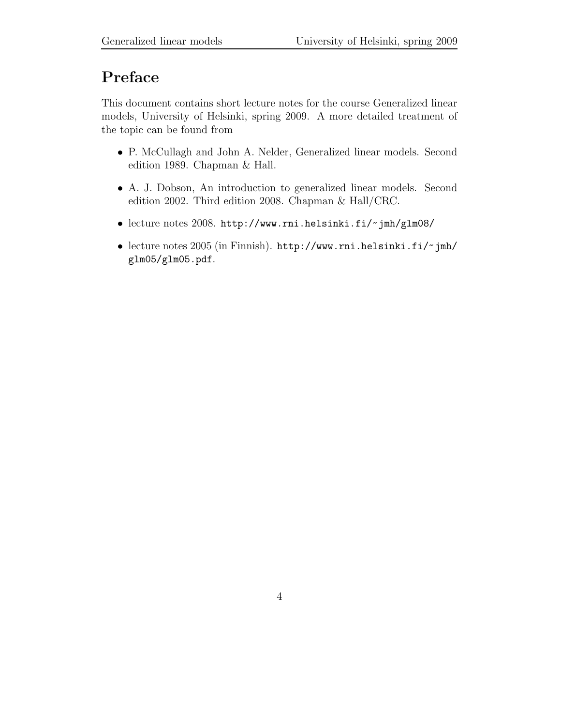# Preface

This document contains short lecture notes for the course Generalized linear models, University of Helsinki, spring 2009. A more detailed treatment of the topic can be found from

- P. McCullagh and John A. Nelder, Generalized linear models. Second edition 1989. Chapman & Hall.
- A. J. Dobson, An introduction to generalized linear models. Second edition 2002. Third edition 2008. Chapman & Hall/CRC.
- lecture notes 2008. http://www.rni.helsinki.fi/~jmh/glm08/
- lecture notes 2005 (in Finnish). http://www.rni.helsinki.fi/~jmh/ glm05/glm05.pdf.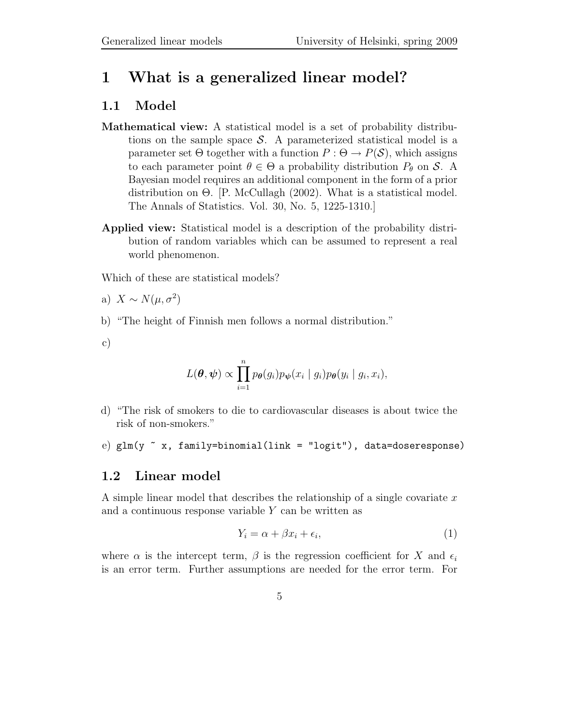## 1 What is a generalized linear model?

## 1.1 Model

- Mathematical view: A statistical model is a set of probability distributions on the sample space  $\mathcal{S}$ . A parameterized statistical model is a parameter set  $\Theta$  together with a function  $P : \Theta \to P(S)$ , which assigns to each parameter point  $\theta \in \Theta$  a probability distribution  $P_{\theta}$  on S. A Bayesian model requires an additional component in the form of a prior distribution on  $\Theta$ . [P. McCullagh (2002). What is a statistical model. The Annals of Statistics. Vol. 30, No. 5, 1225-1310.]
- Applied view: Statistical model is a description of the probability distribution of random variables which can be assumed to represent a real world phenomenon.

Which of these are statistical models?

a) 
$$
X \sim N(\mu, \sigma^2)
$$

- b) "The height of Finnish men follows a normal distribution."
- c)

$$
L(\boldsymbol{\theta}, \boldsymbol{\psi}) \propto \prod_{i=1}^n p_{\boldsymbol{\theta}}(g_i) p_{\boldsymbol{\psi}}(x_i \mid g_i) p_{\boldsymbol{\theta}}(y_i \mid g_i, x_i),
$$

d) "The risk of smokers to die to cardiovascular diseases is about twice the risk of non-smokers."

e) 
$$
glm(y \text{ x}, family=binomial(link = "logit"), data=doseresponse)
$$

#### 1.2 Linear model

A simple linear model that describes the relationship of a single covariate  $x$ and a continuous response variable  $Y$  can be written as

$$
Y_i = \alpha + \beta x_i + \epsilon_i,\tag{1}
$$

where  $\alpha$  is the intercept term,  $\beta$  is the regression coefficient for X and  $\epsilon_i$ is an error term. Further assumptions are needed for the error term. For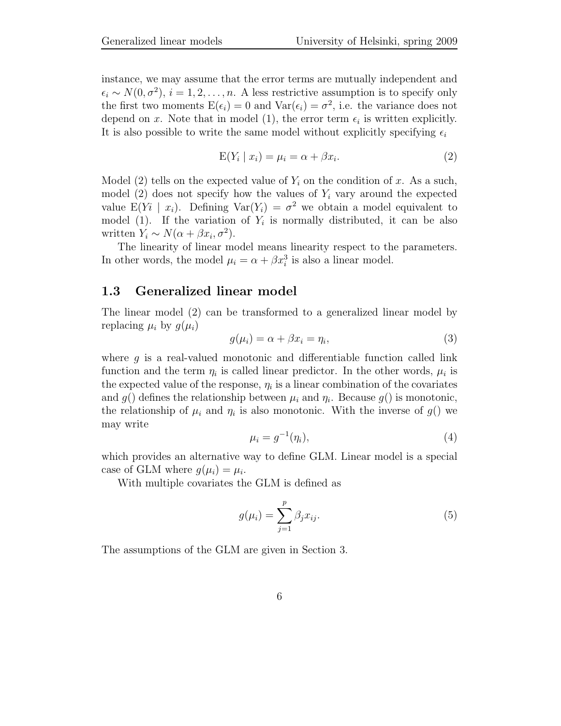instance, we may assume that the error terms are mutually independent and  $\epsilon_i \sim N(0, \sigma^2), i = 1, 2, \ldots, n$ . A less restrictive assumption is to specify only the first two moments  $E(\epsilon_i) = 0$  and  $Var(\epsilon_i) = \sigma^2$ , i.e. the variance does not depend on x. Note that in model (1), the error term  $\epsilon_i$  is written explicitly. It is also possible to write the same model without explicitly specifying  $\epsilon_i$ 

$$
E(Y_i \mid x_i) = \mu_i = \alpha + \beta x_i. \tag{2}
$$

Model (2) tells on the expected value of  $Y_i$  on the condition of x. As a such, model (2) does not specify how the values of  $Y_i$  vary around the expected value  $E(Y_i | x_i)$ . Defining  $Var(Y_i) = \sigma^2$  we obtain a model equivalent to model (1). If the variation of  $Y_i$  is normally distributed, it can be also written  $Y_i \sim N(\alpha + \beta x_i, \sigma^2)$ .

The linearity of linear model means linearity respect to the parameters. In other words, the model  $\mu_i = \alpha + \beta x_i^3$  is also a linear model.

#### 1.3 Generalized linear model

The linear model (2) can be transformed to a generalized linear model by replacing  $\mu_i$  by  $g(\mu_i)$ 

$$
g(\mu_i) = \alpha + \beta x_i = \eta_i,\tag{3}
$$

where  $g$  is a real-valued monotonic and differentiable function called link function and the term  $\eta_i$  is called linear predictor. In the other words,  $\mu_i$  is the expected value of the response,  $\eta_i$  is a linear combination of the covariates and  $g()$  defines the relationship between  $\mu_i$  and  $\eta_i$ . Because  $g()$  is monotonic, the relationship of  $\mu_i$  and  $\eta_i$  is also monotonic. With the inverse of  $g()$  we may write

$$
\mu_i = g^{-1}(\eta_i),\tag{4}
$$

which provides an alternative way to define GLM. Linear model is a special case of GLM where  $g(\mu_i) = \mu_i$ .

With multiple covariates the GLM is defined as

$$
g(\mu_i) = \sum_{j=1}^p \beta_j x_{ij}.
$$
\n<sup>(5)</sup>

The assumptions of the GLM are given in Section 3.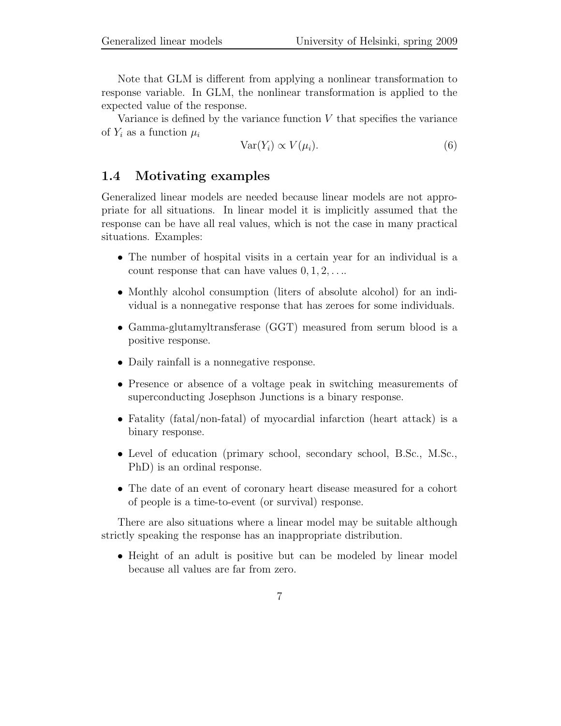Note that GLM is different from applying a nonlinear transformation to response variable. In GLM, the nonlinear transformation is applied to the expected value of the response.

Variance is defined by the variance function  $V$  that specifies the variance of  $Y_i$  as a function  $\mu_i$ 

$$
Var(Y_i) \propto V(\mu_i). \tag{6}
$$

## 1.4 Motivating examples

Generalized linear models are needed because linear models are not appropriate for all situations. In linear model it is implicitly assumed that the response can be have all real values, which is not the case in many practical situations. Examples:

- The number of hospital visits in a certain year for an individual is a count response that can have values  $0, 1, 2, \ldots$
- Monthly alcohol consumption (liters of absolute alcohol) for an individual is a nonnegative response that has zeroes for some individuals.
- Gamma-glutamyltransferase (GGT) measured from serum blood is a positive response.
- Daily rainfall is a nonnegative response.
- Presence or absence of a voltage peak in switching measurements of superconducting Josephson Junctions is a binary response.
- Fatality (fatal/non-fatal) of myocardial infarction (heart attack) is a binary response.
- Level of education (primary school, secondary school, B.Sc., M.Sc., PhD) is an ordinal response.
- The date of an event of coronary heart disease measured for a cohort of people is a time-to-event (or survival) response.

There are also situations where a linear model may be suitable although strictly speaking the response has an inappropriate distribution.

• Height of an adult is positive but can be modeled by linear model because all values are far from zero.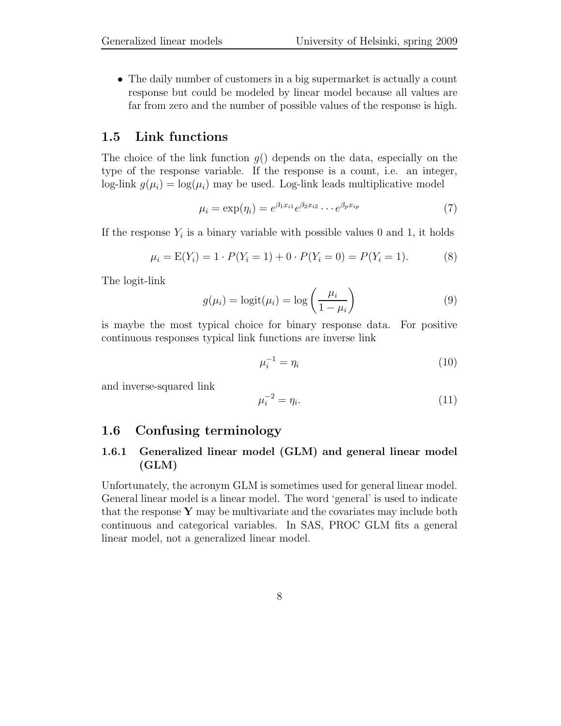• The daily number of customers in a big supermarket is actually a count response but could be modeled by linear model because all values are far from zero and the number of possible values of the response is high.

## 1.5 Link functions

The choice of the link function  $g()$  depends on the data, especially on the type of the response variable. If the response is a count, i.e. an integer, log-link  $g(\mu_i) = \log(\mu_i)$  may be used. Log-link leads multiplicative model

$$
\mu_i = \exp(\eta_i) = e^{\beta_1 x_{i1}} e^{\beta_2 x_{i2}} \cdots e^{\beta_p x_{ip}} \tag{7}
$$

If the response  $Y_i$  is a binary variable with possible values 0 and 1, it holds

$$
\mu_i = E(Y_i) = 1 \cdot P(Y_i = 1) + 0 \cdot P(Y_i = 0) = P(Y_i = 1). \tag{8}
$$

The logit-link

$$
g(\mu_i) = \text{logit}(\mu_i) = \text{log}\left(\frac{\mu_i}{1 - \mu_i}\right) \tag{9}
$$

is maybe the most typical choice for binary response data. For positive continuous responses typical link functions are inverse link

$$
\mu_i^{-1} = \eta_i \tag{10}
$$

and inverse-squared link

$$
\mu_i^{-2} = \eta_i. \tag{11}
$$

#### 1.6 Confusing terminology

### 1.6.1 Generalized linear model (GLM) and general linear model (GLM)

Unfortunately, the acronym GLM is sometimes used for general linear model. General linear model is a linear model. The word 'general' is used to indicate that the response  $\bf{Y}$  may be multivariate and the covariates may include both continuous and categorical variables. In SAS, PROC GLM fits a general linear model, not a generalized linear model.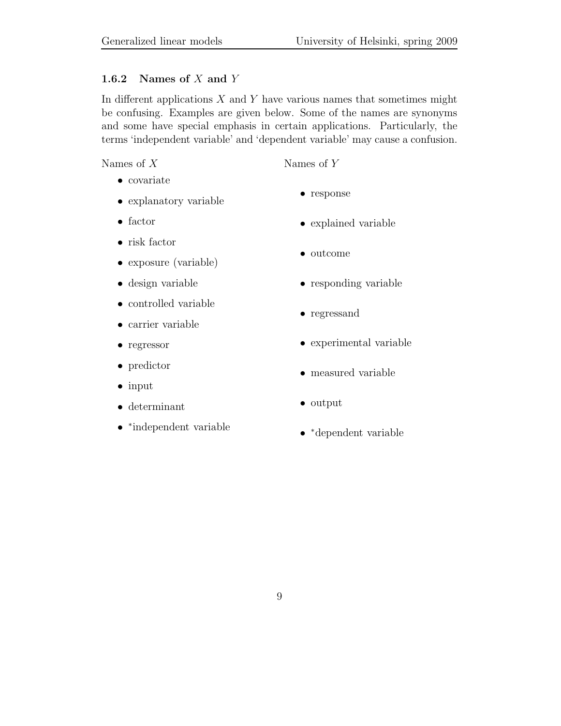#### 1.6.2 Names of  $X$  and  $Y$

In different applications  $X$  and  $Y$  have various names that sometimes might be confusing. Examples are given below. Some of the names are synonyms and some have special emphasis in certain applications. Particularly, the terms 'independent variable' and 'dependent variable' may cause a confusion.

Names of X

- covariate
- explanatory variable
- factor
- risk factor
- exposure (variable)
- design variable
- controlled variable
- carrier variable
- regressor
- predictor
- input
- determinant
- ∗ independent variable

• response

Names of Y

- explained variable
- outcome
- responding variable
- regressand
- experimental variable
- measured variable
- output
- <sup>∗</sup>dependent variable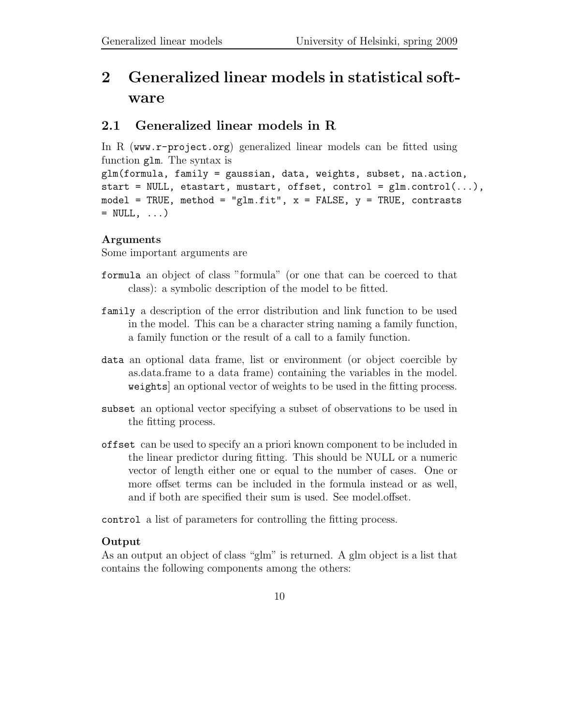# 2 Generalized linear models in statistical software

## 2.1 Generalized linear models in R

In R (www.r-project.org) generalized linear models can be fitted using function glm. The syntax is

```
glm(formula, family = gaussian, data, weights, subset, na.action,
start = NULL, etastart, mustart, offset, control = glm.control(...),model = TRUE, method = "glm.fit", x = FALSE, y = TRUE, contrasts
= NULL, \ldots)
```
## Arguments

Some important arguments are

- formula an object of class "formula" (or one that can be coerced to that class): a symbolic description of the model to be fitted.
- family a description of the error distribution and link function to be used in the model. This can be a character string naming a family function, a family function or the result of a call to a family function.
- data an optional data frame, list or environment (or object coercible by as.data.frame to a data frame) containing the variables in the model. weights] an optional vector of weights to be used in the fitting process.
- subset an optional vector specifying a subset of observations to be used in the fitting process.
- offset can be used to specify an a priori known component to be included in the linear predictor during fitting. This should be NULL or a numeric vector of length either one or equal to the number of cases. One or more offset terms can be included in the formula instead or as well, and if both are specified their sum is used. See model.offset.

control a list of parameters for controlling the fitting process.

## Output

As an output an object of class "glm" is returned. A glm object is a list that contains the following components among the others: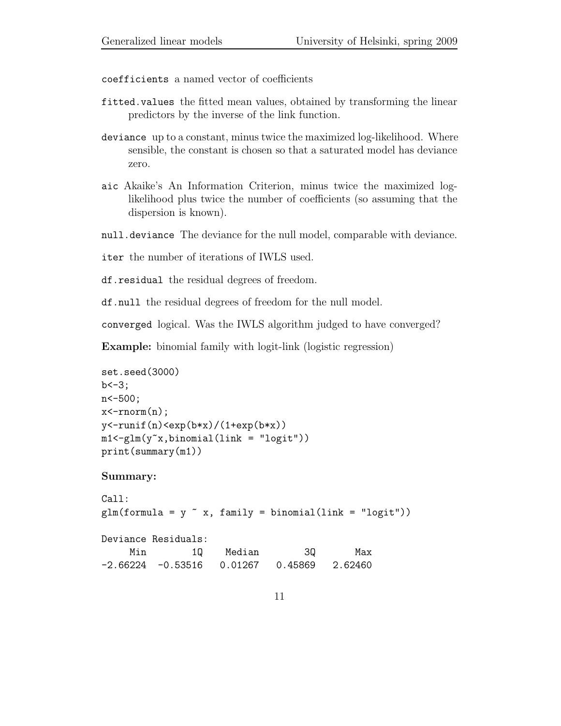coefficients a named vector of coefficients

- fitted.values the fitted mean values, obtained by transforming the linear predictors by the inverse of the link function.
- deviance up to a constant, minus twice the maximized log-likelihood. Where sensible, the constant is chosen so that a saturated model has deviance zero.
- aic Akaike's An Information Criterion, minus twice the maximized loglikelihood plus twice the number of coefficients (so assuming that the dispersion is known).
- null.deviance The deviance for the null model, comparable with deviance.
- iter the number of iterations of IWLS used.
- df.residual the residual degrees of freedom.
- df.null the residual degrees of freedom for the null model.

converged logical. Was the IWLS algorithm judged to have converged?

Example: binomial family with logit-link (logistic regression)

```
set.seed(3000)
b < -3;
n<-500;
x < - rnorm(n);
y < - runif(n) < exp(b*x) / (1+exp(b*x))
m1 < -g1m(y^x, binomial(link = "logit"))print(summary(m1))
```
#### Summary:

```
Call:
glm(formula = y x, family = binomial(link = "logit"))Deviance Residuals:
    Min 1Q Median 3Q Max
-2.66224 -0.53516 0.01267 0.45869 2.62460
```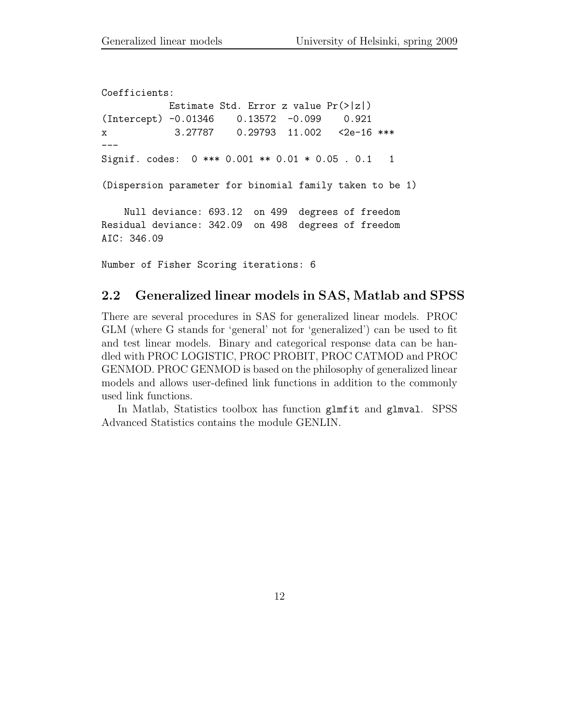Coefficients: Estimate Std. Error z value Pr(>|z|) (Intercept) -0.01346 0.13572 -0.099 0.921 x 3.27787 0.29793 11.002 <2e-16 \*\*\* --- Signif. codes: 0 \*\*\* 0.001 \*\* 0.01 \* 0.05 . 0.1 1 (Dispersion parameter for binomial family taken to be 1) Null deviance: 693.12 on 499 degrees of freedom Residual deviance: 342.09 on 498 degrees of freedom AIC: 346.09

Number of Fisher Scoring iterations: 6

#### 2.2 Generalized linear models in SAS, Matlab and SPSS

There are several procedures in SAS for generalized linear models. PROC GLM (where G stands for 'general' not for 'generalized') can be used to fit and test linear models. Binary and categorical response data can be handled with PROC LOGISTIC, PROC PROBIT, PROC CATMOD and PROC GENMOD. PROC GENMOD is based on the philosophy of generalized linear models and allows user-defined link functions in addition to the commonly used link functions.

In Matlab, Statistics toolbox has function glmfit and glmval. SPSS Advanced Statistics contains the module GENLIN.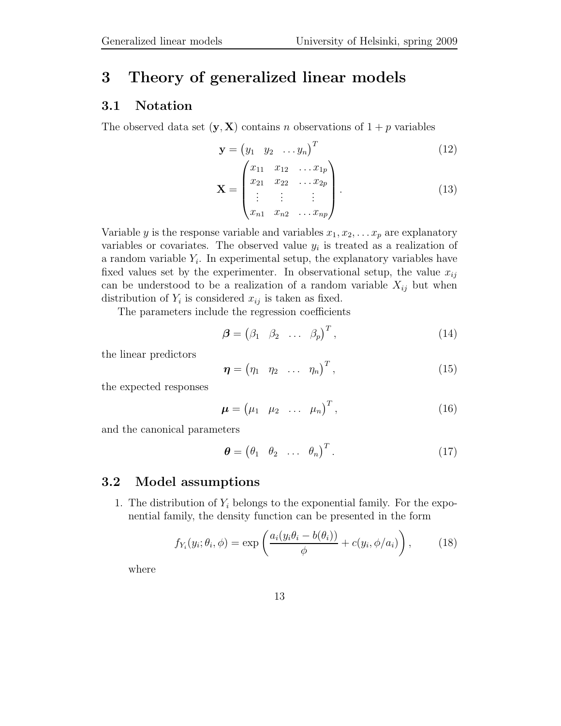## 3 Theory of generalized linear models

## 3.1 Notation

The observed data set  $(y, X)$  contains n observations of  $1 + p$  variables

$$
\mathbf{y} = (y_1 \quad y_2 \quad \dots y_n)^T
$$
(12)  

$$
\mathbf{X} = \begin{pmatrix} x_{11} & x_{12} & \dots & x_{1p} \\ x_{21} & x_{22} & \dots & x_{2p} \\ \vdots & \vdots & \vdots \\ x_{n1} & x_{n2} & \dots & x_{np} \end{pmatrix}.
$$
(13)

Variable y is the response variable and variables  $x_1, x_2, \ldots x_p$  are explanatory variables or covariates. The observed value  $y_i$  is treated as a realization of a random variable  $Y_i$ . In experimental setup, the explanatory variables have fixed values set by the experimenter. In observational setup, the value  $x_{ij}$ can be understood to be a realization of a random variable  $X_{ij}$  but when distribution of  $Y_i$  is considered  $x_{ij}$  is taken as fixed.

The parameters include the regression coefficients

$$
\boldsymbol{\beta} = \begin{pmatrix} \beta_1 & \beta_2 & \dots & \beta_p \end{pmatrix}^T,\tag{14}
$$

the linear predictors

$$
\boldsymbol{\eta} = \begin{pmatrix} \eta_1 & \eta_2 & \dots & \eta_n \end{pmatrix}^T, \tag{15}
$$

the expected responses

$$
\boldsymbol{\mu} = (\mu_1 \quad \mu_2 \quad \dots \quad \mu_n)^T, \tag{16}
$$

and the canonical parameters

$$
\boldsymbol{\theta} = \begin{pmatrix} \theta_1 & \theta_2 & \dots & \theta_n \end{pmatrix}^T. \tag{17}
$$

## 3.2 Model assumptions

1. The distribution of  $Y_i$  belongs to the exponential family. For the exponential family, the density function can be presented in the form

$$
f_{Y_i}(y_i; \theta_i, \phi) = \exp\left(\frac{a_i(y_i\theta_i - b(\theta_i))}{\phi} + c(y_i, \phi/a_i)\right), \quad (18)
$$

where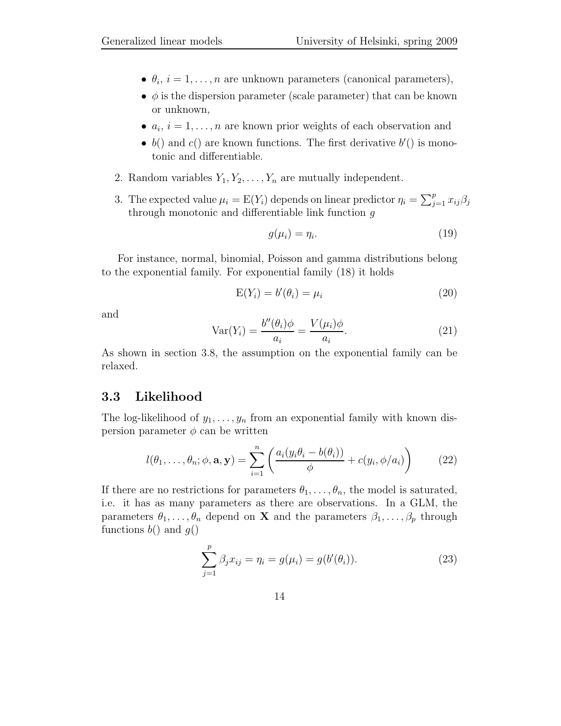- $\theta_i$ ,  $i = 1, ..., n$  are unknown parameters (canonical parameters),
- $\phi$  is the dispersion parameter (scale parameter) that can be known or unknown,
- $a_i$ ,  $i = 1, \ldots, n$  are known prior weights of each observation and
- $b()$  and  $c()$  are known functions. The first derivative  $b'()$  is monotonic and differentiable.
- 2. Random variables  $Y_1, Y_2, \ldots, Y_n$  are mutually independent.
- 3. The expected value  $\mu_i = E(Y_i)$  depends on linear predictor  $\eta_i = \sum_{j=1}^p x_{ij} \beta_j$ through monotonic and differentiable link function  $g$

$$
g(\mu_i) = \eta_i. \tag{19}
$$

For instance, normal, binomial, Poisson and gamma distributions belong to the exponential family. For exponential family (18) it holds

$$
E(Y_i) = b'(\theta_i) = \mu_i \tag{20}
$$

and

$$
Var(Y_i) = \frac{b''(\theta_i)\phi}{a_i} = \frac{V(\mu_i)\phi}{a_i}.
$$
\n(21)

As shown in section 3.8, the assumption on the exponential family can be relaxed.

#### 3.3 Likelihood

The log-likelihood of  $y_1, \ldots, y_n$  from an exponential family with known dispersion parameter  $\phi$  can be written

$$
l(\theta_1,\ldots,\theta_n;\phi,\mathbf{a},\mathbf{y})=\sum_{i=1}^n\left(\frac{a_i(y_i\theta_i-b(\theta_i))}{\phi}+c(y_i,\phi/a_i)\right) \qquad (22)
$$

If there are no restrictions for parameters  $\theta_1, \ldots, \theta_n$ , the model is saturated, i.e. it has as many parameters as there are observations. In a GLM, the parameters  $\theta_1, \ldots, \theta_n$  depend on **X** and the parameters  $\beta_1, \ldots, \beta_p$  through functions  $b()$  and  $q()$ 

$$
\sum_{j=1}^{p} \beta_j x_{ij} = \eta_i = g(\mu_i) = g(b'(\theta_i)).
$$
\n(23)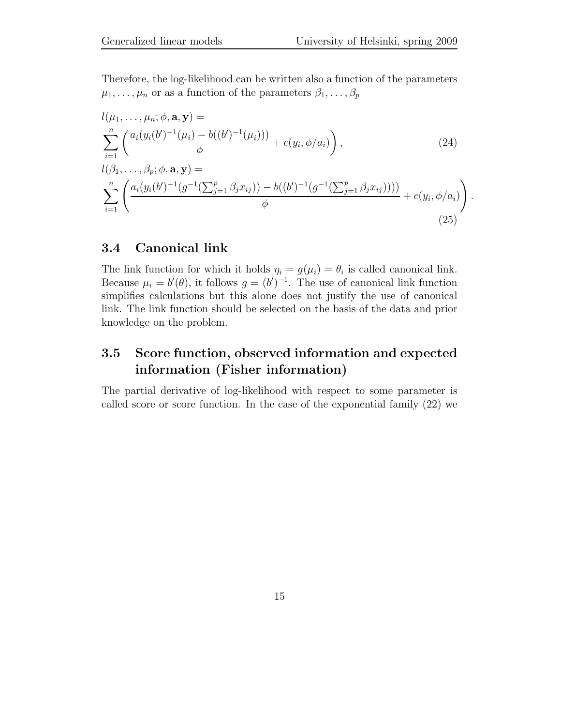Therefore, the log-likelihood can be written also a function of the parameters  $\mu_1, \ldots, \mu_n$  or as a function of the parameters  $\beta_1, \ldots, \beta_p$ 

$$
l(\mu_1, ..., \mu_n; \phi, \mathbf{a}, \mathbf{y}) =
$$
  

$$
\sum_{i=1}^n \left( \frac{a_i (y_i(b')^{-1}(\mu_i) - b((b')^{-1}(\mu_i)))}{\phi} + c(y_i, \phi/a_i) \right),
$$
 (24)

$$
l(\beta_1, ..., \beta_p; \phi, \mathbf{a}, \mathbf{y}) =
$$
  

$$
\sum_{i=1}^n \left( \frac{a_i(y_i(b')^{-1}(g^{-1}(\sum_{j=1}^p \beta_j x_{ij})) - b((b')^{-1}(g^{-1}(\sum_{j=1}^p \beta_j x_{ij}))))}{\phi} + c(y_i, \phi/a_i) \right).
$$
(25)

## 3.4 Canonical link

The link function for which it holds  $\eta_i = g(\mu_i) = \theta_i$  is called canonical link. Because  $\mu_i = b'(\theta)$ , it follows  $g = (b')^{-1}$ . The use of canonical link function simplifies calculations but this alone does not justify the use of canonical link. The link function should be selected on the basis of the data and prior knowledge on the problem.

## 3.5 Score function, observed information and expected information (Fisher information)

The partial derivative of log-likelihood with respect to some parameter is called score or score function. In the case of the exponential family  $(22)$  we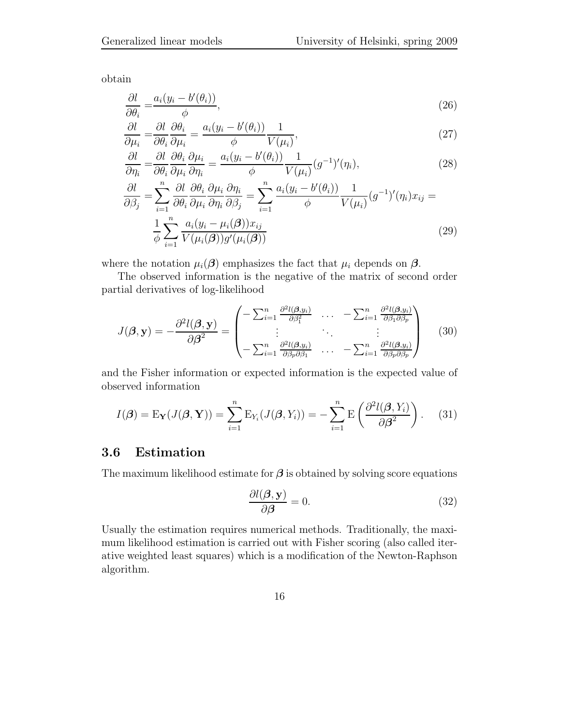obtain

$$
\frac{\partial l}{\partial \theta_i} = \frac{a_i (y_i - b'(\theta_i))}{\phi},\tag{26}
$$

$$
\frac{\partial l}{\partial \mu_i} = \frac{\partial l}{\partial \theta_i} \frac{\partial \theta_i}{\partial \mu_i} = \frac{a_i (y_i - b'(\theta_i))}{\phi} \frac{1}{V(\mu_i)},\tag{27}
$$

$$
\frac{\partial l}{\partial \eta_i} = \frac{\partial l}{\partial \theta_i} \frac{\partial \theta_i}{\partial \mu_i} \frac{\partial \mu_i}{\partial \eta_i} = \frac{a_i (y_i - b'(\theta_i))}{\phi} \frac{1}{V(\mu_i)} (g^{-1})'(\eta_i),\tag{28}
$$

$$
\frac{\partial l}{\partial \beta_j} = \sum_{i=1}^n \frac{\partial l}{\partial \theta_i} \frac{\partial \theta_i}{\partial \mu_i} \frac{\partial \mu_i}{\partial \eta_i} \frac{\partial \eta_i}{\partial \beta_j} = \sum_{i=1}^n \frac{a_i (y_i - b'(\theta_i))}{\phi} \frac{1}{V(\mu_i)} (g^{-1})'(\eta_i) x_{ij} =
$$
\n
$$
\frac{1}{\phi} \sum_{i=1}^n \frac{a_i (y_i - \mu_i(\boldsymbol{\beta})) x_{ij}}{V(\mu_i(\boldsymbol{\beta})) g'(\mu_i(\boldsymbol{\beta}))}
$$
\n(29)

where the notation  $\mu_i(\boldsymbol{\beta})$  emphasizes the fact that  $\mu_i$  depends on  $\boldsymbol{\beta}$ .

The observed information is the negative of the matrix of second order partial derivatives of log-likelihood

$$
J(\boldsymbol{\beta}, \mathbf{y}) = -\frac{\partial^2 l(\boldsymbol{\beta}, \mathbf{y})}{\partial \boldsymbol{\beta}^2} = \begin{pmatrix} -\sum_{i=1}^n \frac{\partial^2 l(\boldsymbol{\beta}, y_i)}{\partial \beta_1^2} & \cdots & -\sum_{i=1}^n \frac{\partial^2 l(\boldsymbol{\beta}, y_i)}{\partial \beta_1 \partial \beta_p} \\ \vdots & \vdots & \ddots & \vdots \\ -\sum_{i=1}^n \frac{\partial^2 l(\boldsymbol{\beta}, y_i)}{\partial \beta_p \partial \beta_1} & \cdots & -\sum_{i=1}^n \frac{\partial^2 l(\boldsymbol{\beta}, y_i)}{\partial \beta_p \partial \beta_p} \end{pmatrix}
$$
(30)

and the Fisher information or expected information is the expected value of observed information

$$
I(\boldsymbol{\beta}) = \mathrm{E}_{\mathbf{Y}}(J(\boldsymbol{\beta}, \mathbf{Y})) = \sum_{i=1}^{n} \mathrm{E}_{Y_i}(J(\boldsymbol{\beta}, Y_i)) = -\sum_{i=1}^{n} \mathrm{E}\left(\frac{\partial^2 l(\boldsymbol{\beta}, Y_i)}{\partial \boldsymbol{\beta}^2}\right).
$$
 (31)

## 3.6 Estimation

The maximum likelihood estimate for  $\beta$  is obtained by solving score equations

$$
\frac{\partial l(\boldsymbol{\beta}, \mathbf{y})}{\partial \boldsymbol{\beta}} = 0. \tag{32}
$$

Usually the estimation requires numerical methods. Traditionally, the maximum likelihood estimation is carried out with Fisher scoring (also called iterative weighted least squares) which is a modification of the Newton-Raphson algorithm.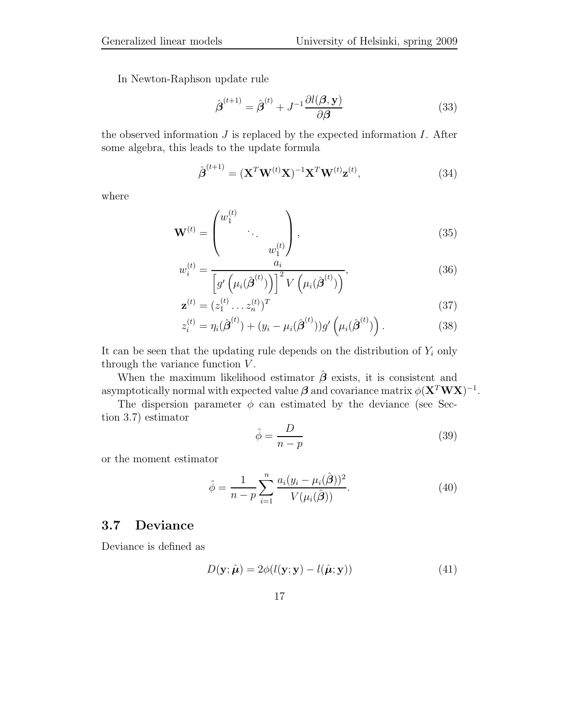In Newton-Raphson update rule

$$
\hat{\boldsymbol{\beta}}^{(t+1)} = \hat{\boldsymbol{\beta}}^{(t)} + J^{-1} \frac{\partial l(\boldsymbol{\beta}, \mathbf{y})}{\partial \boldsymbol{\beta}}
$$
(33)

the observed information  $J$  is replaced by the expected information  $I$ . After some algebra, this leads to the update formula

$$
\hat{\boldsymbol{\beta}}^{(t+1)} = (\mathbf{X}^T \mathbf{W}^{(t)} \mathbf{X})^{-1} \mathbf{X}^T \mathbf{W}^{(t)} \mathbf{z}^{(t)},
$$
\n(34)

where

$$
\mathbf{W}^{(t)} = \begin{pmatrix} w_1^{(t)} & & \\ & \ddots & \\ & & w_1^{(t)} \end{pmatrix},\tag{35}
$$

$$
w_i^{(t)} = \frac{a_i}{\left[g'\left(\mu_i(\hat{\boldsymbol{\beta}}^{(t)})\right)\right]^2 V\left(\mu_i(\hat{\boldsymbol{\beta}}^{(t)})\right)},
$$
\n(36)

$$
\mathbf{z}^{(t)} = (z_1^{(t)} \dots z_n^{(t)})^T
$$
 (37)

$$
z_i^{(t)} = \eta_i(\hat{\boldsymbol{\beta}}^{(t)}) + (y_i - \mu_i(\hat{\boldsymbol{\beta}}^{(t)}))g'\left(\mu_i(\hat{\boldsymbol{\beta}}^{(t)})\right). \tag{38}
$$

It can be seen that the updating rule depends on the distribution of  $Y_i$  only through the variance function  $V$ .

When the maximum likelihood estimator  $\hat{\boldsymbol{\beta}}$  exists, it is consistent and asymptotically normal with expected value  $\boldsymbol{\beta}$  and covariance matrix  $\phi(\mathbf{X}^T \mathbf{W} \mathbf{X})^{-1}$ .

The dispersion parameter  $\phi$  can estimated by the deviance (see Section 3.7) estimator

$$
\hat{\phi} = \frac{D}{n - p} \tag{39}
$$

or the moment estimator

$$
\hat{\phi} = \frac{1}{n - p} \sum_{i=1}^{n} \frac{a_i (y_i - \mu_i(\hat{\boldsymbol{\beta}}))^2}{V(\mu_i(\hat{\boldsymbol{\beta}}))}.
$$
\n(40)

## 3.7 Deviance

Deviance is defined as

$$
D(\mathbf{y};\hat{\boldsymbol{\mu}}) = 2\phi(l(\mathbf{y};\mathbf{y}) - l(\hat{\boldsymbol{\mu}};\mathbf{y}))
$$
\n(41)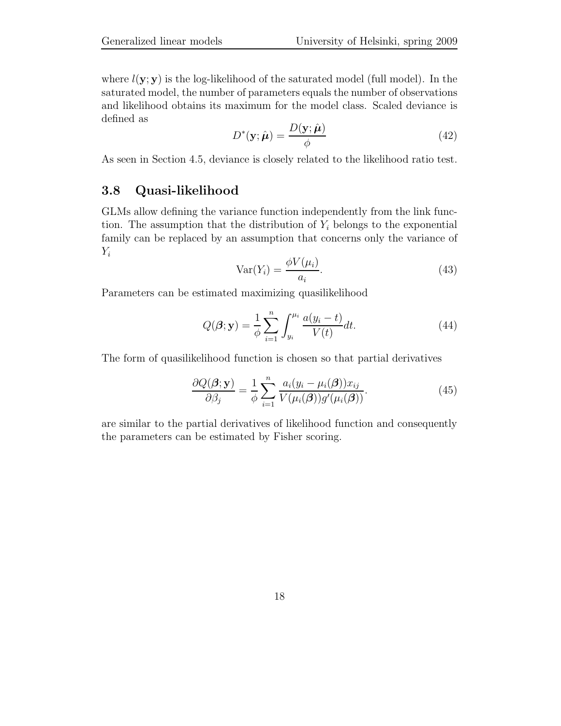where  $l(\mathbf{y}; \mathbf{y})$  is the log-likelihood of the saturated model (full model). In the saturated model, the number of parameters equals the number of observations and likelihood obtains its maximum for the model class. Scaled deviance is defined as

$$
D^*(\mathbf{y};\hat{\boldsymbol{\mu}}) = \frac{D(\mathbf{y};\hat{\boldsymbol{\mu}})}{\phi} \tag{42}
$$

As seen in Section 4.5, deviance is closely related to the likelihood ratio test.

## 3.8 Quasi-likelihood

GLMs allow defining the variance function independently from the link function. The assumption that the distribution of  $Y_i$  belongs to the exponential family can be replaced by an assumption that concerns only the variance of  $Y_i$ 

$$
Var(Y_i) = \frac{\phi V(\mu_i)}{a_i}.
$$
\n(43)

Parameters can be estimated maximizing quasilikelihood

$$
Q(\boldsymbol{\beta}; \mathbf{y}) = \frac{1}{\phi} \sum_{i=1}^{n} \int_{y_i}^{\mu_i} \frac{a(y_i - t)}{V(t)} dt.
$$
 (44)

The form of quasilikelihood function is chosen so that partial derivatives

$$
\frac{\partial Q(\boldsymbol{\beta}; \mathbf{y})}{\partial \beta_j} = \frac{1}{\phi} \sum_{i=1}^n \frac{a_i (y_i - \mu_i(\boldsymbol{\beta})) x_{ij}}{V(\mu_i(\boldsymbol{\beta})) g'(\mu_i(\boldsymbol{\beta}))}.
$$
(45)

are similar to the partial derivatives of likelihood function and consequently the parameters can be estimated by Fisher scoring.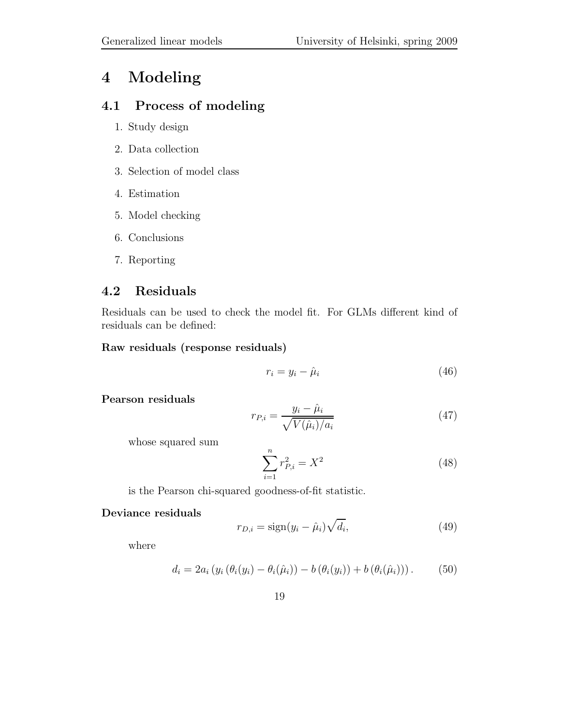# 4 Modeling

## 4.1 Process of modeling

- 1. Study design
- 2. Data collection
- 3. Selection of model class
- 4. Estimation
- 5. Model checking
- 6. Conclusions
- 7. Reporting

## 4.2 Residuals

Residuals can be used to check the model fit. For GLMs different kind of residuals can be defined:

#### Raw residuals (response residuals)

$$
r_i = y_i - \hat{\mu}_i \tag{46}
$$

#### Pearson residuals

$$
r_{P,i} = \frac{y_i - \hat{\mu}_i}{\sqrt{V(\hat{\mu}_i)/a_i}}\tag{47}
$$

whose squared sum

$$
\sum_{i=1}^{n} r_{P,i}^{2} = X^{2}
$$
 (48)

is the Pearson chi-squared goodness-of-fit statistic.

#### Deviance residuals

$$
r_{D,i} = \text{sign}(y_i - \hat{\mu}_i) \sqrt{d_i},\tag{49}
$$

where

$$
d_i = 2a_i (y_i (\theta_i(y_i) - \theta_i(\hat{\mu}_i)) - b(\theta_i(y_i)) + b(\theta_i(\hat{\mu}_i))).
$$
 (50)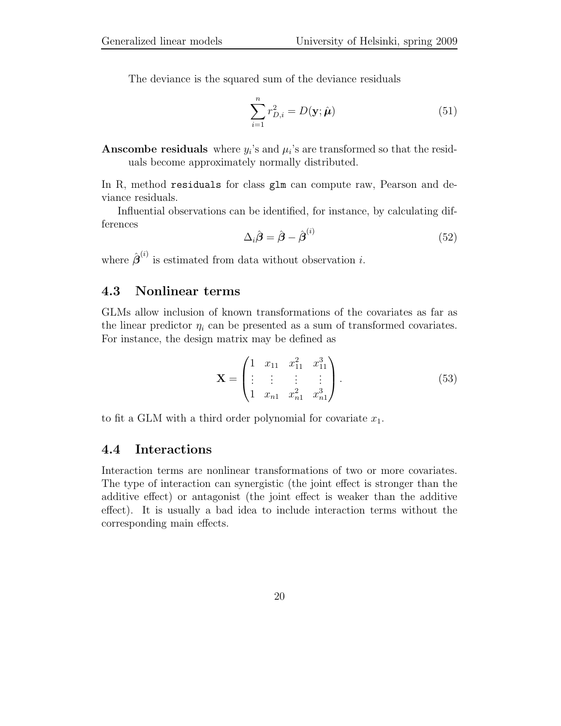The deviance is the squared sum of the deviance residuals

$$
\sum_{i=1}^{n} r_{D,i}^{2} = D(\mathbf{y}; \hat{\boldsymbol{\mu}})
$$
\n(51)

**Anscombe residuals** where  $y_i$ 's and  $\mu_i$ 's are transformed so that the residuals become approximately normally distributed.

In R, method residuals for class glm can compute raw, Pearson and deviance residuals.

Influential observations can be identified, for instance, by calculating differences

$$
\Delta_i \hat{\boldsymbol{\beta}} = \hat{\boldsymbol{\beta}} - \hat{\boldsymbol{\beta}}^{(i)} \tag{52}
$$

where  $\hat{\boldsymbol{\beta}}^{(i)}$  is estimated from data without observation *i*.

## 4.3 Nonlinear terms

GLMs allow inclusion of known transformations of the covariates as far as the linear predictor  $\eta_i$  can be presented as a sum of transformed covariates. For instance, the design matrix may be defined as

$$
\mathbf{X} = \begin{pmatrix} 1 & x_{11} & x_{11}^2 & x_{11}^3 \\ \vdots & \vdots & \vdots & \vdots \\ 1 & x_{n1} & x_{n1}^2 & x_{n1}^3 \end{pmatrix} . \tag{53}
$$

to fit a GLM with a third order polynomial for covariate  $x_1$ .

#### 4.4 Interactions

Interaction terms are nonlinear transformations of two or more covariates. The type of interaction can synergistic (the joint effect is stronger than the additive effect) or antagonist (the joint effect is weaker than the additive effect). It is usually a bad idea to include interaction terms without the corresponding main effects.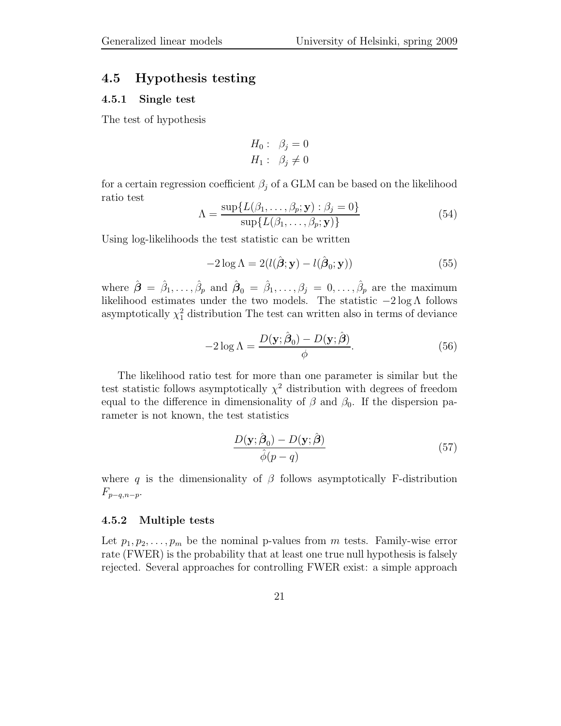#### 4.5 Hypothesis testing

#### 4.5.1 Single test

The test of hypothesis

$$
H_0: \ \beta_j = 0
$$
  

$$
H_1: \ \beta_j \neq 0
$$

for a certain regression coefficient  $\beta_j$  of a GLM can be based on the likelihood ratio test

$$
\Lambda = \frac{\sup\{L(\beta_1, \dots, \beta_p; \mathbf{y}) : \beta_j = 0\}}{\sup\{L(\beta_1, \dots, \beta_p; \mathbf{y})\}}
$$
(54)

Using log-likelihoods the test statistic can be written

$$
-2\log \Lambda = 2(l(\hat{\boldsymbol{\beta}}; \mathbf{y}) - l(\hat{\boldsymbol{\beta}}_0; \mathbf{y}))
$$
\n(55)

where  $\hat{\boldsymbol{\beta}} = \hat{\beta}_1, \ldots, \hat{\beta}_p$  and  $\hat{\boldsymbol{\beta}}_0 = \hat{\beta}_1, \ldots, \beta_j = 0, \ldots, \hat{\beta}_p$  are the maximum likelihood estimates under the two models. The statistic  $-2 \log \Lambda$  follows asymptotically  $\chi_1^2$  distribution The test can written also in terms of deviance

$$
-2\log\Lambda = \frac{D(\mathbf{y};\hat{\boldsymbol{\beta}}_0) - D(\mathbf{y};\hat{\boldsymbol{\beta}})}{\phi}.
$$
 (56)

The likelihood ratio test for more than one parameter is similar but the test statistic follows asymptotically  $\chi^2$  distribution with degrees of freedom equal to the difference in dimensionality of  $\beta$  and  $\beta_0$ . If the dispersion parameter is not known, the test statistics

$$
\frac{D(\mathbf{y};\hat{\boldsymbol{\beta}}_0) - D(\mathbf{y};\hat{\boldsymbol{\beta}})}{\hat{\phi}(p-q)}
$$
(57)

where q is the dimensionality of  $\beta$  follows asymptotically F-distribution  $F_{p-q,n-p}.$ 

#### 4.5.2 Multiple tests

Let  $p_1, p_2, \ldots, p_m$  be the nominal p-values from m tests. Family-wise error rate (FWER) is the probability that at least one true null hypothesis is falsely rejected. Several approaches for controlling FWER exist: a simple approach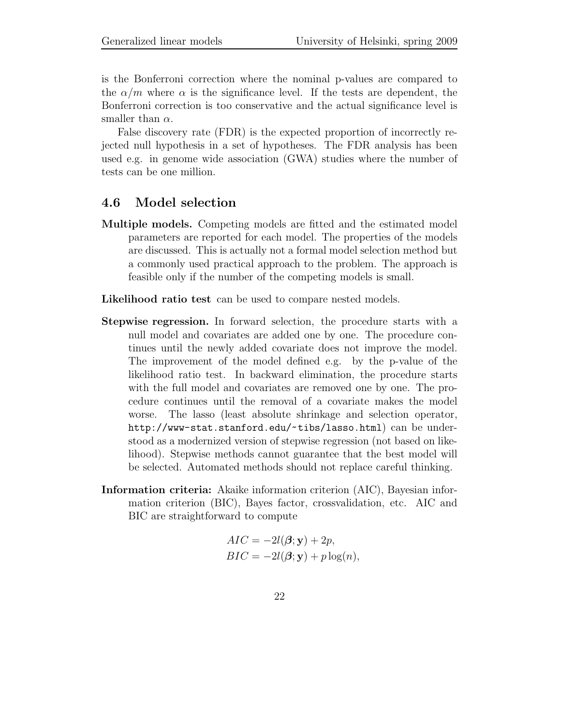is the Bonferroni correction where the nominal p-values are compared to the  $\alpha/m$  where  $\alpha$  is the significance level. If the tests are dependent, the Bonferroni correction is too conservative and the actual significance level is smaller than  $\alpha$ .

False discovery rate (FDR) is the expected proportion of incorrectly rejected null hypothesis in a set of hypotheses. The FDR analysis has been used e.g. in genome wide association (GWA) studies where the number of tests can be one million.

## 4.6 Model selection

- Multiple models. Competing models are fitted and the estimated model parameters are reported for each model. The properties of the models are discussed. This is actually not a formal model selection method but a commonly used practical approach to the problem. The approach is feasible only if the number of the competing models is small.
- Likelihood ratio test can be used to compare nested models.
- Stepwise regression. In forward selection, the procedure starts with a null model and covariates are added one by one. The procedure continues until the newly added covariate does not improve the model. The improvement of the model defined e.g. by the p-value of the likelihood ratio test. In backward elimination, the procedure starts with the full model and covariates are removed one by one. The procedure continues until the removal of a covariate makes the model worse. The lasso (least absolute shrinkage and selection operator, http://www-stat.stanford.edu/~tibs/lasso.html) can be understood as a modernized version of stepwise regression (not based on likelihood). Stepwise methods cannot guarantee that the best model will be selected. Automated methods should not replace careful thinking.
- Information criteria: Akaike information criterion (AIC), Bayesian information criterion (BIC), Bayes factor, crossvalidation, etc. AIC and BIC are straightforward to compute

$$
AIC = -2l(\boldsymbol{\beta}; \mathbf{y}) + 2p,
$$
  
 
$$
BIC = -2l(\boldsymbol{\beta}; \mathbf{y}) + p \log(n),
$$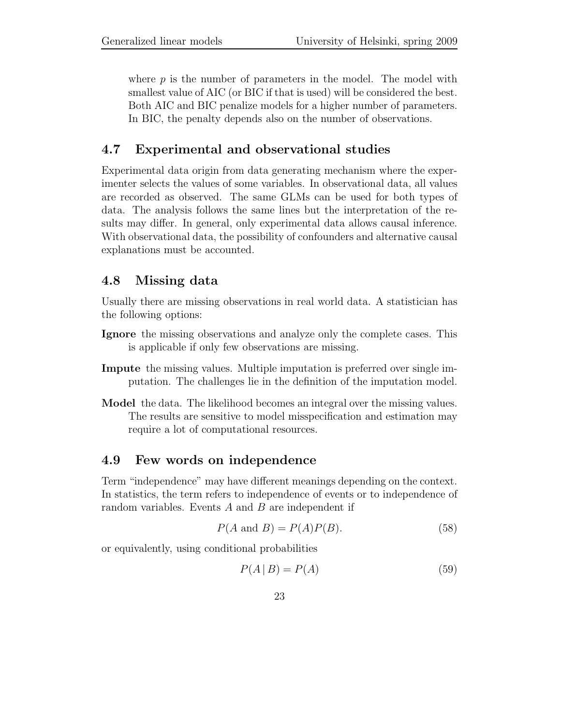where  $p$  is the number of parameters in the model. The model with smallest value of AIC (or BIC if that is used) will be considered the best. Both AIC and BIC penalize models for a higher number of parameters. In BIC, the penalty depends also on the number of observations.

## 4.7 Experimental and observational studies

Experimental data origin from data generating mechanism where the experimenter selects the values of some variables. In observational data, all values are recorded as observed. The same GLMs can be used for both types of data. The analysis follows the same lines but the interpretation of the results may differ. In general, only experimental data allows causal inference. With observational data, the possibility of confounders and alternative causal explanations must be accounted.

## 4.8 Missing data

Usually there are missing observations in real world data. A statistician has the following options:

- Ignore the missing observations and analyze only the complete cases. This is applicable if only few observations are missing.
- Impute the missing values. Multiple imputation is preferred over single imputation. The challenges lie in the definition of the imputation model.
- Model the data. The likelihood becomes an integral over the missing values. The results are sensitive to model misspecification and estimation may require a lot of computational resources.

## 4.9 Few words on independence

Term "independence" may have different meanings depending on the context. In statistics, the term refers to independence of events or to independence of random variables. Events A and B are independent if

$$
P(A \text{ and } B) = P(A)P(B). \tag{58}
$$

or equivalently, using conditional probabilities

$$
P(A \mid B) = P(A) \tag{59}
$$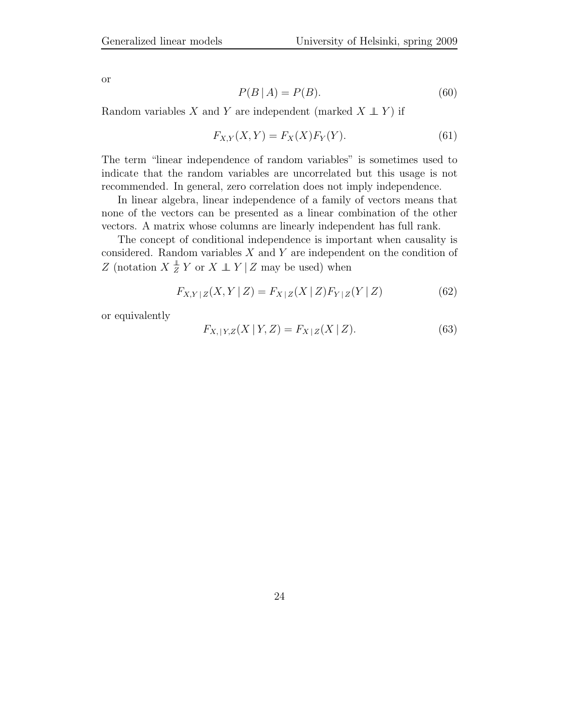or

$$
P(B \mid A) = P(B). \tag{60}
$$

Random variables X and Y are independent (marked  $X \perp Y$ ) if

$$
F_{X,Y}(X,Y) = F_X(X)F_Y(Y).
$$
 (61)

The term "linear independence of random variables" is sometimes used to indicate that the random variables are uncorrelated but this usage is not recommended. In general, zero correlation does not imply independence.

In linear algebra, linear independence of a family of vectors means that none of the vectors can be presented as a linear combination of the other vectors. A matrix whose columns are linearly independent has full rank.

The concept of conditional independence is important when causality is considered. Random variables  $X$  and  $Y$  are independent on the condition of Z (notation  $X \perp Y$  or  $X \perp Y$  | Z may be used) when

$$
F_{X,Y|Z}(X,Y|Z) = F_{X|Z}(X|Z)F_{Y|Z}(Y|Z)
$$
\n(62)

or equivalently

$$
F_{X,|Y,Z}(X | Y, Z) = F_{X|Z}(X | Z).
$$
 (63)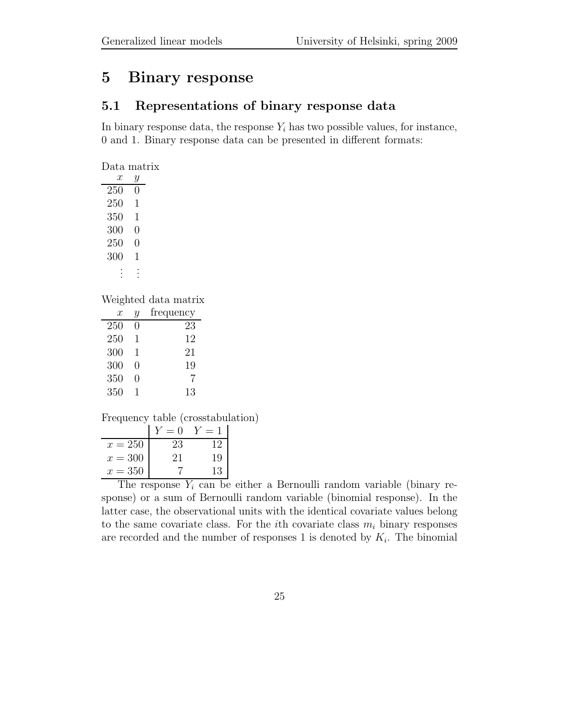# 5 Binary response

## 5.1 Representations of binary response data

In binary response data, the response  $Y_i$  has two possible values, for instance, 0 and 1. Binary response data can be presented in different formats:

| Data matrix |                  |  |
|-------------|------------------|--|
| x           | Y                |  |
| 250         | $\left( \right)$ |  |
| 250         | 1                |  |
| 350         | 1                |  |
| 300         | $\left( \right)$ |  |
| 250         | 0                |  |
| 300         | 1                |  |
|             |                  |  |
|             |                  |  |

Weighted data matrix

| x   | Y                | frequency |
|-----|------------------|-----------|
| 250 | 0                | 23        |
| 250 | 1                | 12        |
| 300 | 1                | 21        |
| 300 | 0                | 19        |
| 350 | $\left( \right)$ | 7         |
| 350 | 1                | 13        |

Frequency table (crosstabulation)

|           | $= 0$ |    |
|-----------|-------|----|
| $x = 250$ | 23    | ۰, |
| $x=300$   | 21    | 19 |
| $x = 350$ |       | 13 |
|           |       |    |

The response  $Y_i$  can be either a Bernoulli random variable (binary response) or a sum of Bernoulli random variable (binomial response). In the latter case, the observational units with the identical covariate values belong to the same covariate class. For the *i*th covariate class  $m_i$  binary responses are recorded and the number of responses 1 is denoted by  $K_i$ . The binomial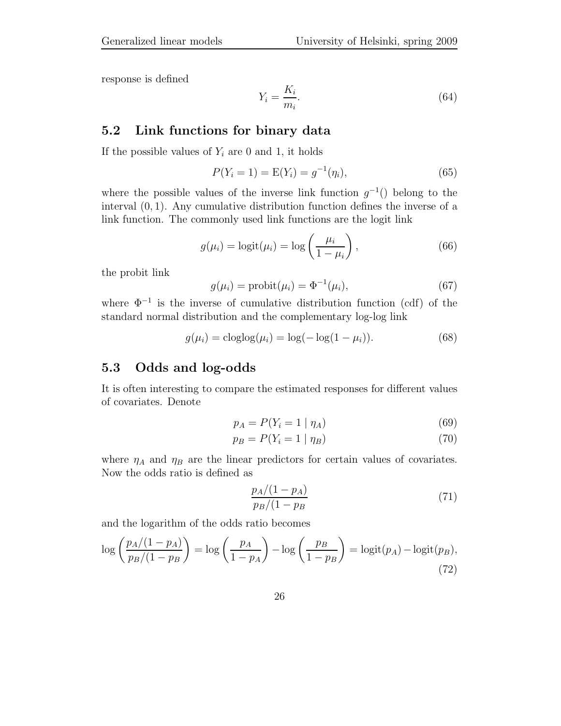response is defined

$$
Y_i = \frac{K_i}{m_i}.\tag{64}
$$

## 5.2 Link functions for binary data

If the possible values of  $Y_i$  are 0 and 1, it holds

$$
P(Y_i = 1) = E(Y_i) = g^{-1}(\eta_i),
$$
\n(65)

where the possible values of the inverse link function  $g^{-1}$ () belong to the interval (0, 1). Any cumulative distribution function defines the inverse of a link function. The commonly used link functions are the logit link

$$
g(\mu_i) = \text{logit}(\mu_i) = \text{log}\left(\frac{\mu_i}{1 - \mu_i}\right),\tag{66}
$$

the probit link

$$
g(\mu_i) = \text{probit}(\mu_i) = \Phi^{-1}(\mu_i), \tag{67}
$$

where  $\Phi^{-1}$  is the inverse of cumulative distribution function (cdf) of the standard normal distribution and the complementary log-log link

$$
g(\mu_i) = \text{cloglog}(\mu_i) = \text{log}(-\text{log}(1 - \mu_i)).
$$
 (68)

## 5.3 Odds and log-odds

It is often interesting to compare the estimated responses for different values of covariates. Denote

$$
p_A = P(Y_i = 1 | \eta_A) \tag{69}
$$

$$
p_B = P(Y_i = 1 | \eta_B) \tag{70}
$$

where  $\eta_A$  and  $\eta_B$  are the linear predictors for certain values of covariates. Now the odds ratio is defined as

$$
\frac{p_A/(1-p_A)}{p_B/(1-p_B)}
$$
(71)

and the logarithm of the odds ratio becomes

$$
\log\left(\frac{p_A/(1-p_A)}{p_B/(1-p_B)}\right) = \log\left(\frac{p_A}{1-p_A}\right) - \log\left(\frac{p_B}{1-p_B}\right) = \log(t(p_A) - \log(t(p_B)),\tag{72}
$$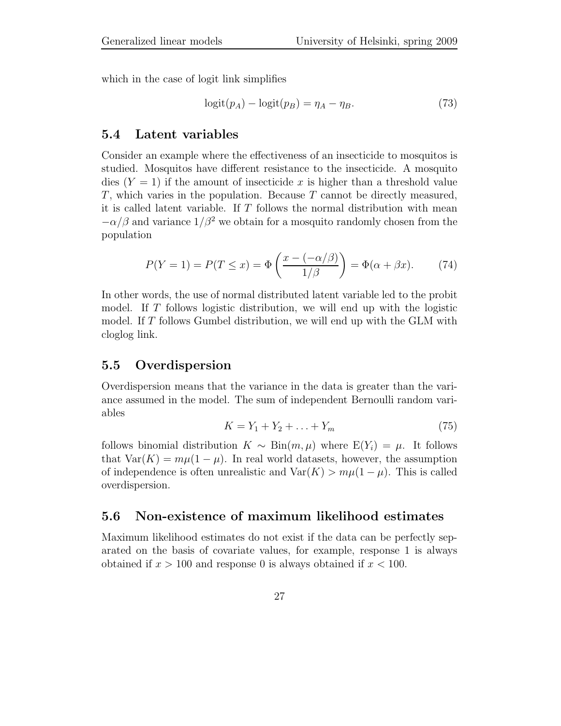which in the case of logit link simplifies

$$
logit(p_A) - logit(p_B) = \eta_A - \eta_B.
$$
 (73)

## 5.4 Latent variables

Consider an example where the effectiveness of an insecticide to mosquitos is studied. Mosquitos have different resistance to the insecticide. A mosquito dies  $(Y = 1)$  if the amount of insecticide x is higher than a threshold value  $T$ , which varies in the population. Because  $T$  cannot be directly measured, it is called latent variable. If T follows the normal distribution with mean  $-\alpha/\beta$  and variance  $1/\beta^2$  we obtain for a mosquito randomly chosen from the population

$$
P(Y=1) = P(T \le x) = \Phi\left(\frac{x - (-\alpha/\beta)}{1/\beta}\right) = \Phi(\alpha + \beta x). \tag{74}
$$

In other words, the use of normal distributed latent variable led to the probit model. If  $T$  follows logistic distribution, we will end up with the logistic model. If  $T$  follows Gumbel distribution, we will end up with the GLM with cloglog link.

#### 5.5 Overdispersion

Overdispersion means that the variance in the data is greater than the variance assumed in the model. The sum of independent Bernoulli random variables

$$
K = Y_1 + Y_2 + \ldots + Y_m \tag{75}
$$

follows binomial distribution  $K \sim \text{Bin}(m, \mu)$  where  $E(Y_i) = \mu$ . It follows that  $Var(K) = m\mu(1 - \mu)$ . In real world datasets, however, the assumption of independence is often unrealistic and  $\text{Var}(K) > m\mu(1-\mu)$ . This is called overdispersion.

#### 5.6 Non-existence of maximum likelihood estimates

Maximum likelihood estimates do not exist if the data can be perfectly separated on the basis of covariate values, for example, response 1 is always obtained if  $x > 100$  and response 0 is always obtained if  $x < 100$ .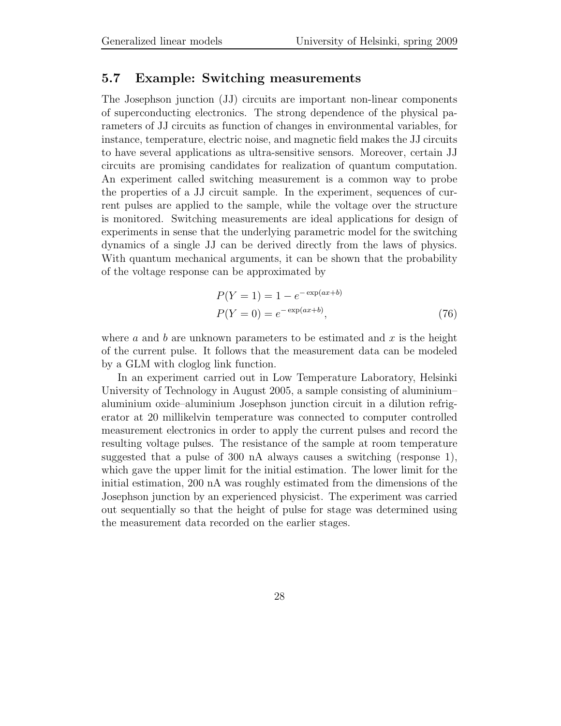### 5.7 Example: Switching measurements

The Josephson junction (JJ) circuits are important non-linear components of superconducting electronics. The strong dependence of the physical parameters of JJ circuits as function of changes in environmental variables, for instance, temperature, electric noise, and magnetic field makes the JJ circuits to have several applications as ultra-sensitive sensors. Moreover, certain JJ circuits are promising candidates for realization of quantum computation. An experiment called switching measurement is a common way to probe the properties of a JJ circuit sample. In the experiment, sequences of current pulses are applied to the sample, while the voltage over the structure is monitored. Switching measurements are ideal applications for design of experiments in sense that the underlying parametric model for the switching dynamics of a single JJ can be derived directly from the laws of physics. With quantum mechanical arguments, it can be shown that the probability of the voltage response can be approximated by

$$
P(Y = 1) = 1 - e^{-\exp(ax+b)}
$$
  
\n
$$
P(Y = 0) = e^{-\exp(ax+b)},
$$
\n(76)

where a and b are unknown parameters to be estimated and  $x$  is the height of the current pulse. It follows that the measurement data can be modeled by a GLM with cloglog link function.

In an experiment carried out in Low Temperature Laboratory, Helsinki University of Technology in August 2005, a sample consisting of aluminium– aluminium oxide–aluminium Josephson junction circuit in a dilution refrigerator at 20 millikelvin temperature was connected to computer controlled measurement electronics in order to apply the current pulses and record the resulting voltage pulses. The resistance of the sample at room temperature suggested that a pulse of 300 nA always causes a switching (response 1), which gave the upper limit for the initial estimation. The lower limit for the initial estimation, 200 nA was roughly estimated from the dimensions of the Josephson junction by an experienced physicist. The experiment was carried out sequentially so that the height of pulse for stage was determined using the measurement data recorded on the earlier stages.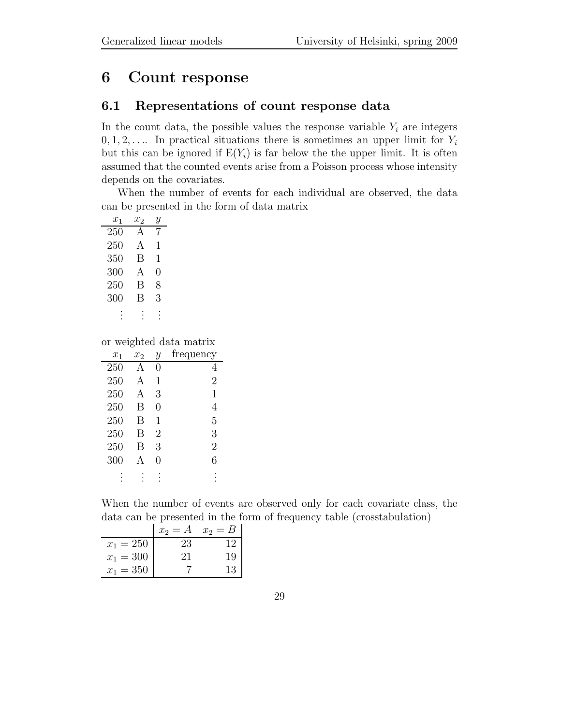# 6 Count response

## 6.1 Representations of count response data

In the count data, the possible values the response variable  $Y_i$  are integers  $0, 1, 2, \ldots$  In practical situations there is sometimes an upper limit for  $Y_i$ but this can be ignored if  $E(Y_i)$  is far below the the upper limit. It is often assumed that the counted events arise from a Poisson process whose intensity depends on the covariates.

When the number of events for each individual are observed, the data can be presented in the form of data matrix

| $x_1$ | $x_2$ | Y |
|-------|-------|---|
| 250   | A     | 7 |
| 250   | A     | 1 |
| 350   | В     | 1 |
| 300   | A     | 0 |
| 250   | В     | 8 |
| 300   | В     | З |
|       |       |   |

or weighted data matrix

| $x_1$ | $x_2$        | Y              | frequency      |
|-------|--------------|----------------|----------------|
| 250   | $\mathbf{A}$ | 0              | 4              |
| 250   | A            | 1              | $\overline{2}$ |
| 250   | A            | 3              | 1              |
| 250   | В            | 0              | 4              |
| 250   | В            | 1              | 5              |
| 250   | В            | $\overline{2}$ | 3              |
| 250   | В            | 3              | $\overline{2}$ |
| 300   | Δ            | 0              | 6              |
|       |              |                |                |

When the number of events are observed only for each covariate class, the data can be presented in the form of frequency table (crosstabulation)

|             | $x_2 = A$ | $x_2 = B$ |
|-------------|-----------|-----------|
| $x_1 = 250$ | 23        | 12        |
| $x_1 = 300$ | 21        | 19        |
| $x_1 = 350$ |           | 13        |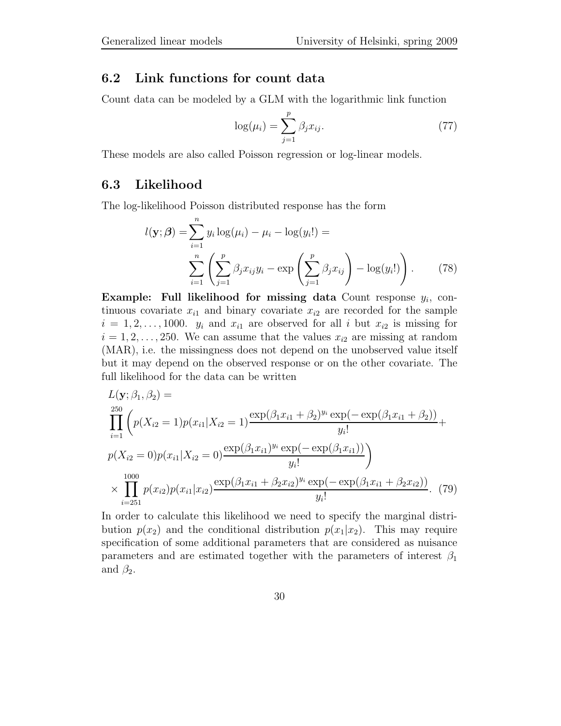#### 6.2 Link functions for count data

Count data can be modeled by a GLM with the logarithmic link function

$$
\log(\mu_i) = \sum_{j=1}^p \beta_j x_{ij}.\tag{77}
$$

These models are also called Poisson regression or log-linear models.

## 6.3 Likelihood

The log-likelihood Poisson distributed response has the form

$$
l(\mathbf{y}; \beta) = \sum_{i=1}^{n} y_i \log(\mu_i) - \mu_i - \log(y_i!) =
$$

$$
\sum_{i=1}^{n} \left( \sum_{j=1}^{p} \beta_j x_{ij} y_i - \exp\left(\sum_{j=1}^{p} \beta_j x_{ij}\right) - \log(y_i!) \right).
$$
(78)

Example: Full likelihood for missing data Count response  $y_i$ , continuous covariate  $x_{i1}$  and binary covariate  $x_{i2}$  are recorded for the sample  $i = 1, 2, \ldots, 1000$ .  $y_i$  and  $x_{i1}$  are observed for all i but  $x_{i2}$  is missing for  $i = 1, 2, \ldots, 250$ . We can assume that the values  $x_{i2}$  are missing at random (MAR), i.e. the missingness does not depend on the unobserved value itself but it may depend on the observed response or on the other covariate. The full likelihood for the data can be written

$$
L(\mathbf{y}; \beta_1, \beta_2) =
$$
  
\n
$$
\prod_{i=1}^{250} \left( p(X_{i2} = 1) p(x_{i1} | X_{i2} = 1) \frac{\exp(\beta_1 x_{i1} + \beta_2)^{y_i} \exp(-\exp(\beta_1 x_{i1} + \beta_2))}{y_i!} + p(X_{i2} = 0) p(x_{i1} | X_{i2} = 0) \frac{\exp(\beta_1 x_{i1})^{y_i} \exp(-\exp(\beta_1 x_{i1}))}{y_i!} \right)
$$
  
\n
$$
\times \prod_{i=251}^{1000} p(x_{i2}) p(x_{i1} | x_{i2}) \frac{\exp(\beta_1 x_{i1} + \beta_2 x_{i2})^{y_i} \exp(-\exp(\beta_1 x_{i1} + \beta_2 x_{i2}))}{y_i!}.
$$
 (79)

In order to calculate this likelihood we need to specify the marginal distribution  $p(x_2)$  and the conditional distribution  $p(x_1|x_2)$ . This may require specification of some additional parameters that are considered as nuisance parameters and are estimated together with the parameters of interest  $\beta_1$ and  $\beta_2$ .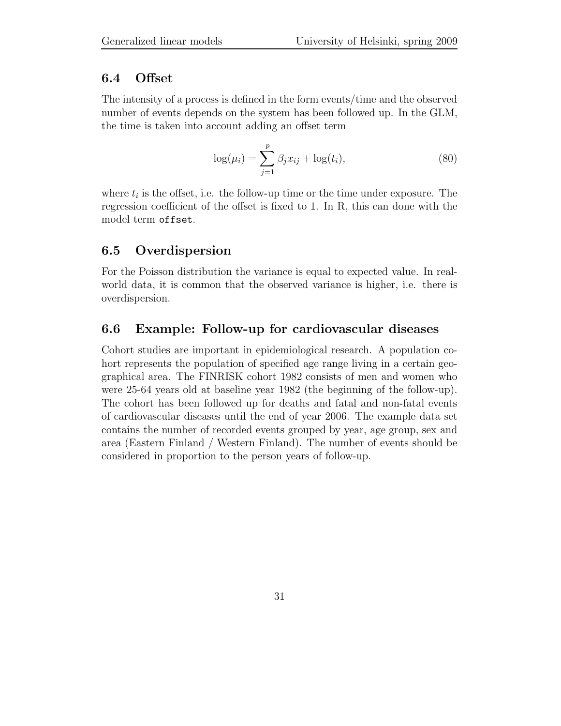#### 6.4 Offset

The intensity of a process is defined in the form events/time and the observed number of events depends on the system has been followed up. In the GLM, the time is taken into account adding an offset term

$$
\log(\mu_i) = \sum_{j=1}^{p} \beta_j x_{ij} + \log(t_i), \tag{80}
$$

where  $t_i$  is the offset, i.e. the follow-up time or the time under exposure. The regression coefficient of the offset is fixed to 1. In R, this can done with the model term offset.

## 6.5 Overdispersion

For the Poisson distribution the variance is equal to expected value. In realworld data, it is common that the observed variance is higher, i.e. there is overdispersion.

## 6.6 Example: Follow-up for cardiovascular diseases

Cohort studies are important in epidemiological research. A population cohort represents the population of specified age range living in a certain geographical area. The FINRISK cohort 1982 consists of men and women who were 25-64 years old at baseline year 1982 (the beginning of the follow-up). The cohort has been followed up for deaths and fatal and non-fatal events of cardiovascular diseases until the end of year 2006. The example data set contains the number of recorded events grouped by year, age group, sex and area (Eastern Finland / Western Finland). The number of events should be considered in proportion to the person years of follow-up.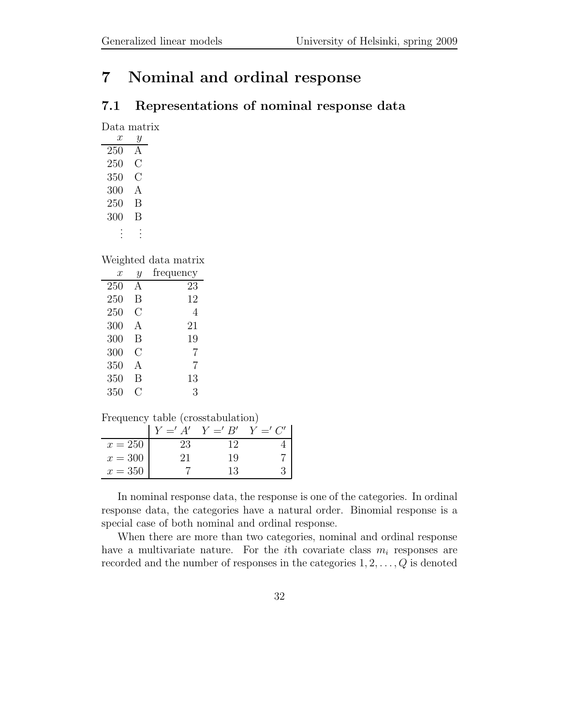# 7 Nominal and ordinal response

## 7.1 Representations of nominal response data

Data matrix  $x \quad u$ 

|     | .7  |
|-----|-----|
| 250 |     |
| 250 | €   |
| 350 | ( ) |
| 300 | A   |
| 250 | В   |
| 300 | В   |
|     |     |
|     |     |

Weighted data matrix

| $\mathcal{T}$ | Y | frequency |
|---------------|---|-----------|
| 250           | A | 23        |
| 250           | B | 12        |
| 250           | С | 4         |
| 300           | A | 21        |
| 300           | В | 19        |
| 300           | C | 7         |
| 350           | A | 7         |
| 350           | В | 13        |
| 350           | C | 3         |

Frequency table (crosstabulation)

|           | $Y =' A'$ | $Y =' B'$ $Y =' C'$ |  |
|-----------|-----------|---------------------|--|
| $x = 250$ | 23        | 19                  |  |
| $x=300$   | 21        | 19                  |  |
| $x = 350$ |           | 13                  |  |

In nominal response data, the response is one of the categories. In ordinal response data, the categories have a natural order. Binomial response is a special case of both nominal and ordinal response.

When there are more than two categories, nominal and ordinal response have a multivariate nature. For the *i*th covariate class  $m_i$  responses are recorded and the number of responses in the categories  $1, 2, \ldots, Q$  is denoted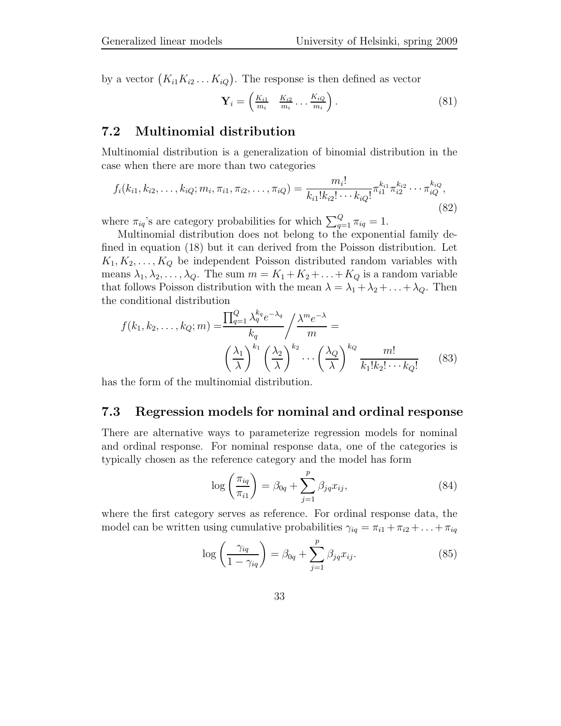by a vector  $(K_{i1}K_{i2}\ldots K_{iQ})$ . The response is then defined as vector

$$
\mathbf{Y}_i = \begin{pmatrix} \frac{K_{i1}}{m_i} & \frac{K_{i2}}{m_i} \dots \frac{K_{iQ}}{m_i} \end{pmatrix} . \tag{81}
$$

## 7.2 Multinomial distribution

Multinomial distribution is a generalization of binomial distribution in the case when there are more than two categories

$$
f_i(k_{i1}, k_{i2}, \dots, k_{iQ}; m_i, \pi_{i1}, \pi_{i2}, \dots, \pi_{iQ}) = \frac{m_i!}{k_{i1}! k_{i2}! \cdots k_{iQ}!} \pi_{i1}^{k_{i1}} \pi_{i2}^{k_{i2}} \cdots \pi_{iQ}^{k_{iQ}},
$$
\n(82)

where  $\pi_{iq}$ 's are category probabilities for which  $\sum_{q=1}^{Q} \pi_{iq} = 1$ .

Multinomial distribution does not belong to the exponential family defined in equation (18) but it can derived from the Poisson distribution. Let  $K_1, K_2, \ldots, K_Q$  be independent Poisson distributed random variables with means  $\lambda_1, \lambda_2, \ldots, \lambda_Q$ . The sum  $m = K_1 + K_2 + \ldots + K_Q$  is a random variable that follows Poisson distribution with the mean  $\lambda = \lambda_1 + \lambda_2 + \ldots + \lambda_Q$ . Then the conditional distribution

$$
f(k_1, k_2, \dots, k_Q; m) = \frac{\prod_{q=1}^{Q} \lambda_q^{k_q} e^{-\lambda_q}}{k_q} / \frac{\lambda^m e^{-\lambda}}{m} = \left(\frac{\lambda_1}{\lambda}\right)^{k_1} \left(\frac{\lambda_2}{\lambda}\right)^{k_2} \cdots \left(\frac{\lambda_Q}{\lambda}\right)^{k_Q} \frac{m!}{k_1! k_2! \cdots k_Q!}
$$
(83)

has the form of the multinomial distribution.

## 7.3 Regression models for nominal and ordinal response

There are alternative ways to parameterize regression models for nominal and ordinal response. For nominal response data, one of the categories is typically chosen as the reference category and the model has form

$$
\log\left(\frac{\pi_{iq}}{\pi_{i1}}\right) = \beta_{0q} + \sum_{j=1}^{p} \beta_{jq} x_{ij},\tag{84}
$$

where the first category serves as reference. For ordinal response data, the model can be written using cumulative probabilities  $\gamma_{iq} = \pi_{i1} + \pi_{i2} + \ldots + \pi_{iq}$ 

$$
\log\left(\frac{\gamma_{iq}}{1-\gamma_{iq}}\right) = \beta_{0q} + \sum_{j=1}^{p} \beta_{jq} x_{ij}.
$$
 (85)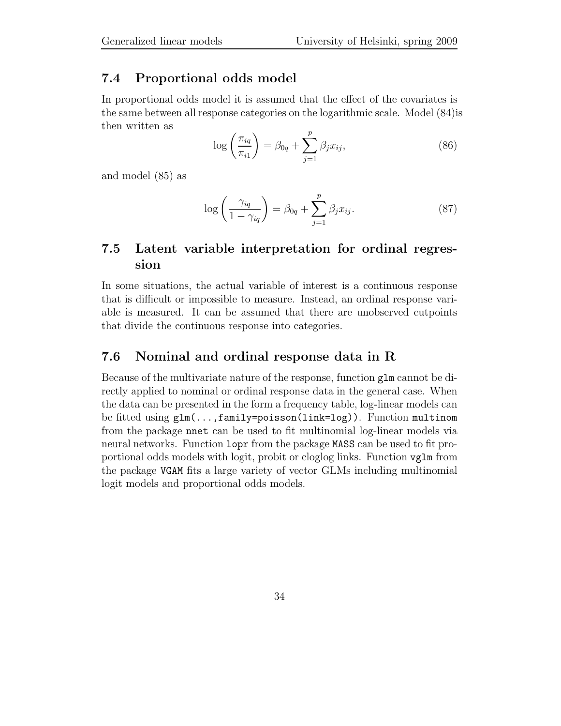## 7.4 Proportional odds model

In proportional odds model it is assumed that the effect of the covariates is the same between all response categories on the logarithmic scale. Model (84)is then written as

$$
\log\left(\frac{\pi_{iq}}{\pi_{i1}}\right) = \beta_{0q} + \sum_{j=1}^{p} \beta_j x_{ij},\tag{86}
$$

and model (85) as

$$
\log\left(\frac{\gamma_{iq}}{1-\gamma_{iq}}\right) = \beta_{0q} + \sum_{j=1}^{p} \beta_j x_{ij}.
$$
 (87)

## 7.5 Latent variable interpretation for ordinal regression

In some situations, the actual variable of interest is a continuous response that is difficult or impossible to measure. Instead, an ordinal response variable is measured. It can be assumed that there are unobserved cutpoints that divide the continuous response into categories.

#### 7.6 Nominal and ordinal response data in R

Because of the multivariate nature of the response, function glm cannot be directly applied to nominal or ordinal response data in the general case. When the data can be presented in the form a frequency table, log-linear models can be fitted using glm(...,family=poisson(link=log)). Function multinom from the package nnet can be used to fit multinomial log-linear models via neural networks. Function lopr from the package MASS can be used to fit proportional odds models with logit, probit or cloglog links. Function vglm from the package VGAM fits a large variety of vector GLMs including multinomial logit models and proportional odds models.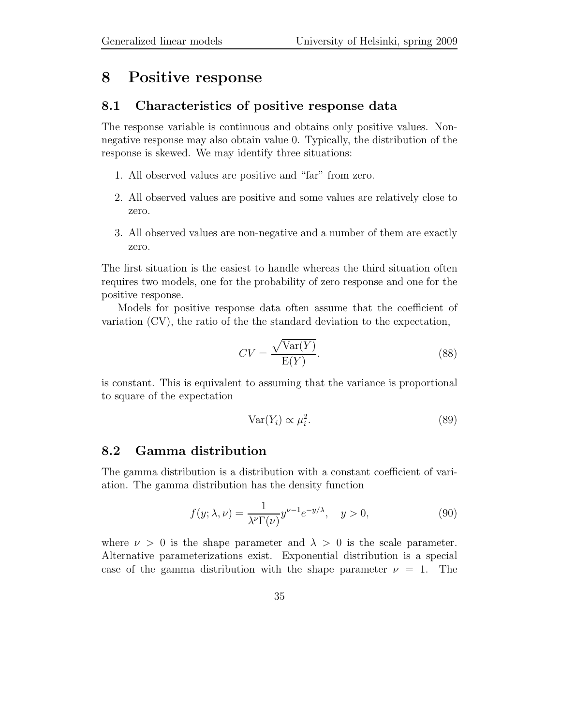## 8 Positive response

## 8.1 Characteristics of positive response data

The response variable is continuous and obtains only positive values. Nonnegative response may also obtain value 0. Typically, the distribution of the response is skewed. We may identify three situations:

- 1. All observed values are positive and "far" from zero.
- 2. All observed values are positive and some values are relatively close to zero.
- 3. All observed values are non-negative and a number of them are exactly zero.

The first situation is the easiest to handle whereas the third situation often requires two models, one for the probability of zero response and one for the positive response.

Models for positive response data often assume that the coefficient of variation (CV), the ratio of the the standard deviation to the expectation,

$$
CV = \frac{\sqrt{\text{Var}(Y)}}{\text{E}(Y)}.\tag{88}
$$

is constant. This is equivalent to assuming that the variance is proportional to square of the expectation

$$
Var(Y_i) \propto \mu_i^2. \tag{89}
$$

## 8.2 Gamma distribution

The gamma distribution is a distribution with a constant coefficient of variation. The gamma distribution has the density function

$$
f(y; \lambda, \nu) = \frac{1}{\lambda^{\nu} \Gamma(\nu)} y^{\nu - 1} e^{-y/\lambda}, \quad y > 0,
$$
\n(90)

where  $\nu > 0$  is the shape parameter and  $\lambda > 0$  is the scale parameter. Alternative parameterizations exist. Exponential distribution is a special case of the gamma distribution with the shape parameter  $\nu = 1$ . The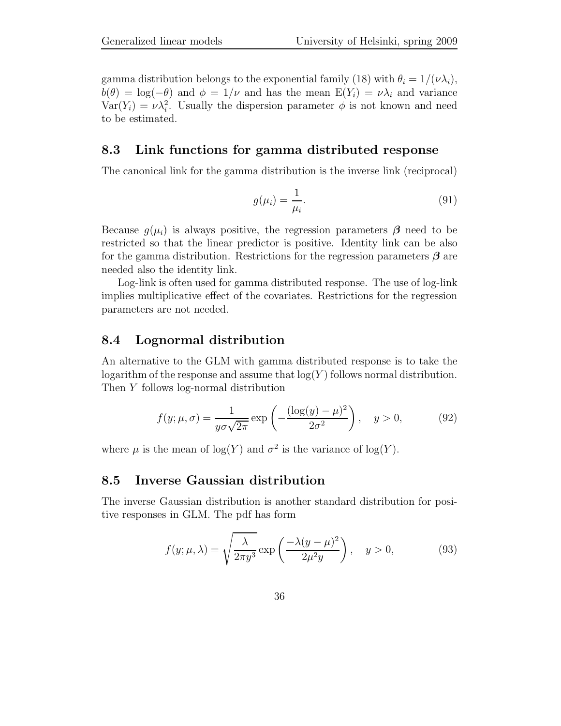gamma distribution belongs to the exponential family (18) with  $\theta_i = 1/(\nu \lambda_i)$ ,  $b(\theta) = \log(-\theta)$  and  $\phi = 1/\nu$  and has the mean  $E(Y_i) = \nu \lambda_i$  and variance  $\text{Var}(Y_i) = \nu \lambda_i^2$ . Usually the dispersion parameter  $\phi$  is not known and need to be estimated.

## 8.3 Link functions for gamma distributed response

The canonical link for the gamma distribution is the inverse link (reciprocal)

$$
g(\mu_i) = \frac{1}{\mu_i}.\tag{91}
$$

Because  $g(\mu_i)$  is always positive, the regression parameters  $\beta$  need to be restricted so that the linear predictor is positive. Identity link can be also for the gamma distribution. Restrictions for the regression parameters  $\beta$  are needed also the identity link.

Log-link is often used for gamma distributed response. The use of log-link implies multiplicative effect of the covariates. Restrictions for the regression parameters are not needed.

#### 8.4 Lognormal distribution

An alternative to the GLM with gamma distributed response is to take the logarithm of the response and assume that  $log(Y)$  follows normal distribution. Then Y follows log-normal distribution

$$
f(y; \mu, \sigma) = \frac{1}{y\sigma\sqrt{2\pi}} \exp\left(-\frac{(\log(y) - \mu)^2}{2\sigma^2}\right), \quad y > 0,
$$
 (92)

where  $\mu$  is the mean of log(Y) and  $\sigma^2$  is the variance of log(Y).

#### 8.5 Inverse Gaussian distribution

The inverse Gaussian distribution is another standard distribution for positive responses in GLM. The pdf has form

$$
f(y; \mu, \lambda) = \sqrt{\frac{\lambda}{2\pi y^3}} \exp\left(\frac{-\lambda(y-\mu)^2}{2\mu^2 y}\right), \quad y > 0,
$$
 (93)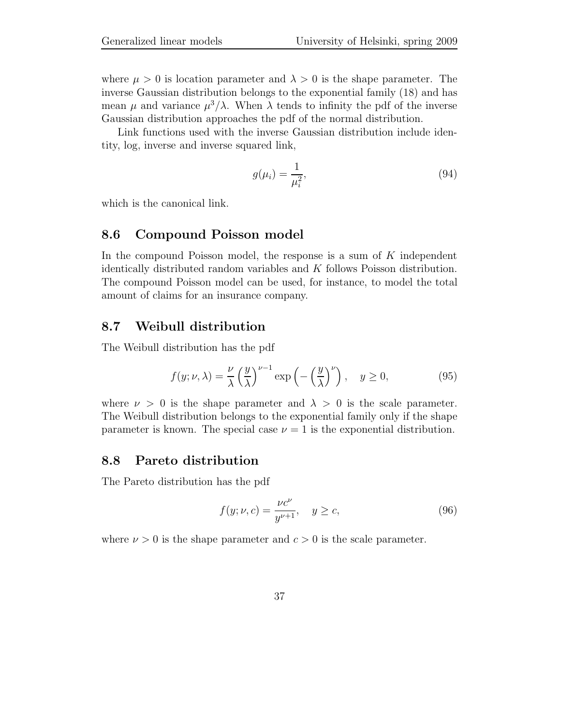where  $\mu > 0$  is location parameter and  $\lambda > 0$  is the shape parameter. The inverse Gaussian distribution belongs to the exponential family (18) and has mean  $\mu$  and variance  $\mu^3/\lambda$ . When  $\lambda$  tends to infinity the pdf of the inverse Gaussian distribution approaches the pdf of the normal distribution.

Link functions used with the inverse Gaussian distribution include identity, log, inverse and inverse squared link,

$$
g(\mu_i) = \frac{1}{\mu_i^2},\tag{94}
$$

which is the canonical link.

#### 8.6 Compound Poisson model

In the compound Poisson model, the response is a sum of  $K$  independent identically distributed random variables and K follows Poisson distribution. The compound Poisson model can be used, for instance, to model the total amount of claims for an insurance company.

#### 8.7 Weibull distribution

The Weibull distribution has the pdf

$$
f(y; \nu, \lambda) = \frac{\nu}{\lambda} \left(\frac{y}{\lambda}\right)^{\nu - 1} \exp\left(-\left(\frac{y}{\lambda}\right)^{\nu}\right), \quad y \ge 0,
$$
 (95)

where  $\nu > 0$  is the shape parameter and  $\lambda > 0$  is the scale parameter. The Weibull distribution belongs to the exponential family only if the shape parameter is known. The special case  $\nu = 1$  is the exponential distribution.

#### 8.8 Pareto distribution

The Pareto distribution has the pdf

$$
f(y; \nu, c) = \frac{\nu c^{\nu}}{y^{\nu+1}}, \quad y \ge c,
$$
\n(96)

where  $\nu > 0$  is the shape parameter and  $c > 0$  is the scale parameter.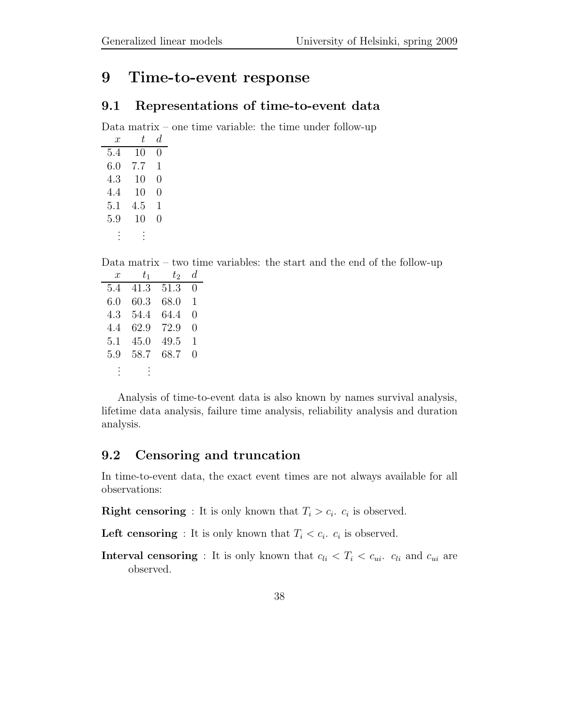## 9 Time-to-event response

## 9.1 Representations of time-to-event data

Data matrix – one time variable: the time under follow-up

| $\mathcal{X}$ | t.  | d. |
|---------------|-----|----|
| 5.4           | 10  | 0  |
| $6.0\,$       | 7.7 | 1  |
| 4.3           | 10  | 0  |
| 4.4           | 10  | 0  |
| $5.1\,$       | 4.5 | 1  |
| 5.9           | 10  | 0  |
|               |     |    |

Data matrix – two time variables: the start and the end of the follow-up

| $\mathcal{T}$ | $t_1$ | $t_2$ | d. |
|---------------|-------|-------|----|
| 5.4           | 41.3  | 51.3  | 0  |
| $6.0\,$       | 60.3  | 68.0  | 1  |
| 4.3           | 54 4  | 64.4  | 0  |
| 44            | 62.9  | 72.9  | 0  |
| 5.1           | 45.0  | 49.5  | 1  |
| 5.9           | 58.7  | 68.7  | 0  |
|               |       |       |    |
|               |       |       |    |

Analysis of time-to-event data is also known by names survival analysis, lifetime data analysis, failure time analysis, reliability analysis and duration analysis.

## 9.2 Censoring and truncation

In time-to-event data, the exact event times are not always available for all observations:

**Right censoring**: It is only known that  $T_i > c_i$ .  $c_i$  is observed.

Left censoring : It is only known that  $T_i < c_i$ .  $c_i$  is observed.

**Interval censoring** : It is only known that  $c_{li} < T_i < c_{ui}$ ,  $c_{li}$  and  $c_{ui}$  are observed.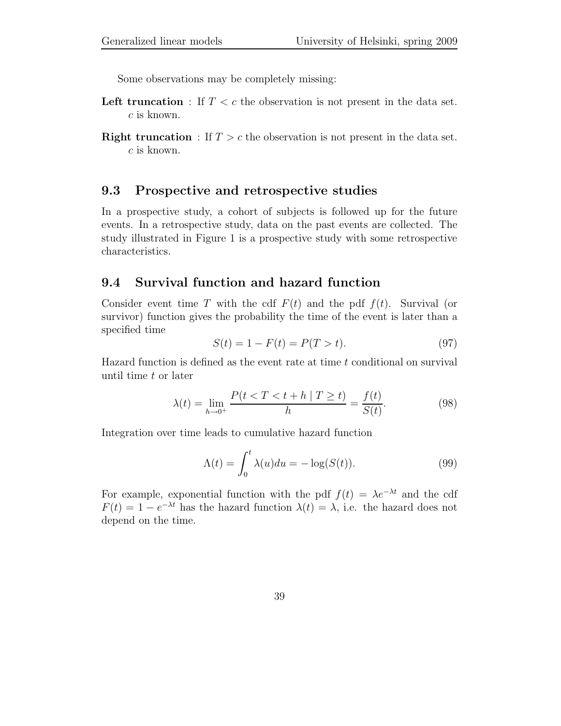Some observations may be completely missing:

- Left truncation : If  $T < c$  the observation is not present in the data set. c is known.
- **Right truncation** : If  $T > c$  the observation is not present in the data set. c is known.

#### 9.3 Prospective and retrospective studies

In a prospective study, a cohort of subjects is followed up for the future events. In a retrospective study, data on the past events are collected. The study illustrated in Figure 1 is a prospective study with some retrospective characteristics.

## 9.4 Survival function and hazard function

Consider event time T with the cdf  $F(t)$  and the pdf  $f(t)$ . Survival (or survivor) function gives the probability the time of the event is later than a specified time

$$
S(t) = 1 - F(t) = P(T > t).
$$
\n(97)

Hazard function is defined as the event rate at time  $t$  conditional on survival until time t or later

$$
\lambda(t) = \lim_{h \to 0^+} \frac{P(t < T < t + h \mid T \ge t)}{h} = \frac{f(t)}{S(t)}.\tag{98}
$$

Integration over time leads to cumulative hazard function

$$
\Lambda(t) = \int_0^t \lambda(u) du = -\log(S(t)).
$$
\n(99)

For example, exponential function with the pdf  $f(t) = \lambda e^{-\lambda t}$  and the cdf  $F(t) = 1 - e^{-\lambda t}$  has the hazard function  $\lambda(t) = \lambda$ , i.e. the hazard does not depend on the time.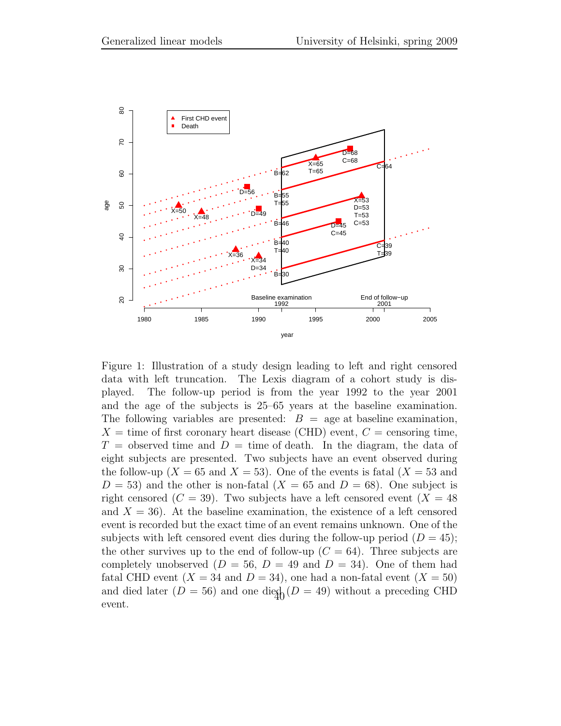

Figure 1: Illustration of a study design leading to left and right censored data with left truncation. The Lexis diagram of a cohort study is displayed. The follow-up period is from the year 1992 to the year 2001 and the age of the subjects is 25–65 years at the baseline examination. The following variables are presented:  $B = \text{age at baseline examination}$ ,  $X =$  time of first coronary heart disease (CHD) event,  $C =$  censoring time,  $T =$  observed time and  $D =$  time of death. In the diagram, the data of eight subjects are presented. Two subjects have an event observed during the follow-up ( $X = 65$  and  $X = 53$ ). One of the events is fatal ( $X = 53$  and  $D = 53$ ) and the other is non-fatal  $(X = 65$  and  $D = 68)$ . One subject is right censored  $(C = 39)$ . Two subjects have a left censored event  $(X = 48)$ and  $X = 36$ . At the baseline examination, the existence of a left censored event is recorded but the exact time of an event remains unknown. One of the subjects with left censored event dies during the follow-up period  $(D = 45)$ ; the other survives up to the end of follow-up  $(C = 64)$ . Three subjects are completely unobserved  $(D = 56, D = 49 \text{ and } D = 34)$ . One of them had fatal CHD event  $(X = 34$  and  $D = 34)$ , one had a non-fatal event  $(X = 50)$ and died later ( $D = 56$ ) and one died  $(D = 49)$  without a preceding CHD event.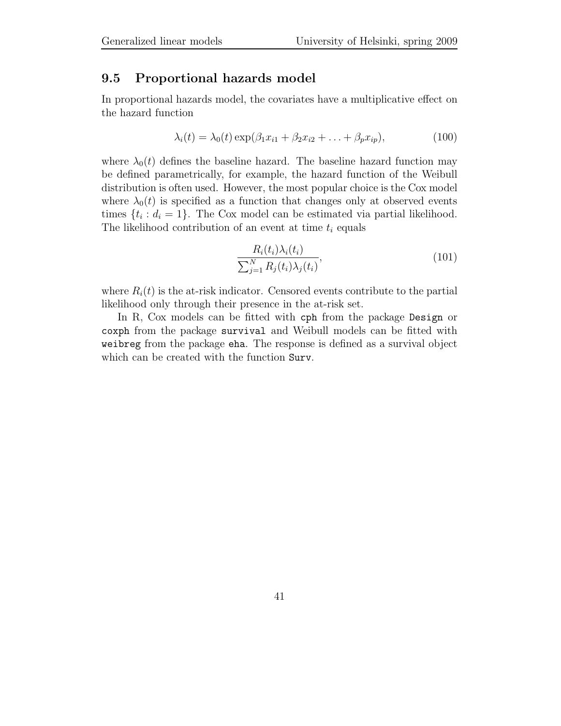#### 9.5 Proportional hazards model

In proportional hazards model, the covariates have a multiplicative effect on the hazard function

$$
\lambda_i(t) = \lambda_0(t) \exp(\beta_1 x_{i1} + \beta_2 x_{i2} + \dots + \beta_p x_{ip}), \qquad (100)
$$

where  $\lambda_0(t)$  defines the baseline hazard. The baseline hazard function may be defined parametrically, for example, the hazard function of the Weibull distribution is often used. However, the most popular choice is the Cox model where  $\lambda_0(t)$  is specified as a function that changes only at observed events times  $\{t_i : d_i = 1\}$ . The Cox model can be estimated via partial likelihood. The likelihood contribution of an event at time  $t_i$  equals

$$
\frac{R_i(t_i)\lambda_i(t_i)}{\sum_{j=1}^N R_j(t_i)\lambda_j(t_i)},\tag{101}
$$

where  $R_i(t)$  is the at-risk indicator. Censored events contribute to the partial likelihood only through their presence in the at-risk set.

In R, Cox models can be fitted with cph from the package Design or coxph from the package survival and Weibull models can be fitted with weibreg from the package eha. The response is defined as a survival object which can be created with the function  $Surv$ .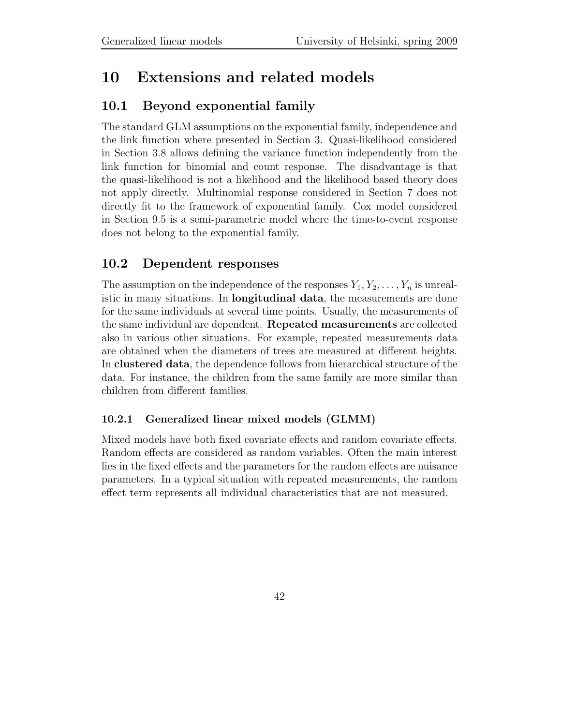# 10 Extensions and related models

## 10.1 Beyond exponential family

The standard GLM assumptions on the exponential family, independence and the link function where presented in Section 3. Quasi-likelihood considered in Section 3.8 allows defining the variance function independently from the link function for binomial and count response. The disadvantage is that the quasi-likelihood is not a likelihood and the likelihood based theory does not apply directly. Multinomial response considered in Section 7 does not directly fit to the framework of exponential family. Cox model considered in Section 9.5 is a semi-parametric model where the time-to-event response does not belong to the exponential family.

## 10.2 Dependent responses

The assumption on the independence of the responses  $Y_1, Y_2, \ldots, Y_n$  is unrealistic in many situations. In longitudinal data, the measurements are done for the same individuals at several time points. Usually, the measurements of the same individual are dependent. Repeated measurements are collected also in various other situations. For example, repeated measurements data are obtained when the diameters of trees are measured at different heights. In clustered data, the dependence follows from hierarchical structure of the data. For instance, the children from the same family are more similar than children from different families.

#### 10.2.1 Generalized linear mixed models (GLMM)

Mixed models have both fixed covariate effects and random covariate effects. Random effects are considered as random variables. Often the main interest lies in the fixed effects and the parameters for the random effects are nuisance parameters. In a typical situation with repeated measurements, the random effect term represents all individual characteristics that are not measured.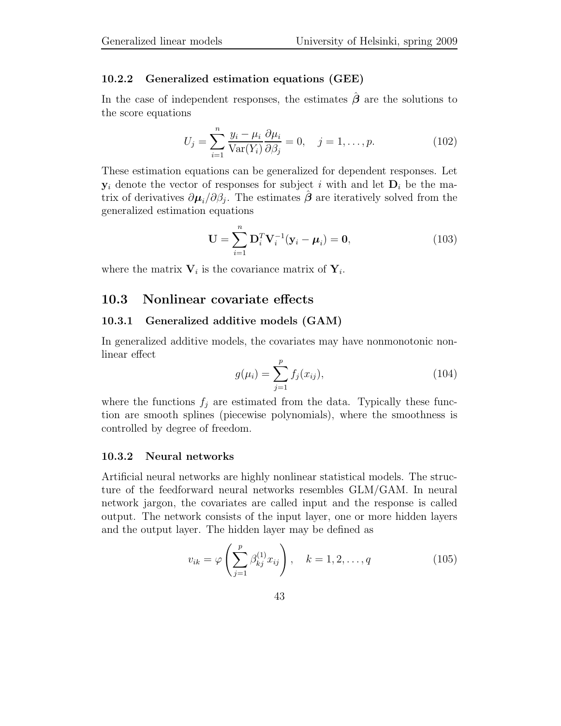#### 10.2.2 Generalized estimation equations (GEE)

In the case of independent responses, the estimates  $\hat{\boldsymbol{\beta}}$  are the solutions to the score equations

$$
U_j = \sum_{i=1}^n \frac{y_i - \mu_i}{\text{Var}(Y_i)} \frac{\partial \mu_i}{\partial \beta_j} = 0, \quad j = 1, \dots, p. \tag{102}
$$

These estimation equations can be generalized for dependent responses. Let  $y_i$  denote the vector of responses for subject i with and let  $D_i$  be the matrix of derivatives  $\partial \mu_i / \partial \beta_j$ . The estimates  $\hat{\beta}$  are iteratively solved from the generalized estimation equations

$$
\mathbf{U} = \sum_{i=1}^{n} \mathbf{D}_i^T \mathbf{V}_i^{-1} (\mathbf{y}_i - \boldsymbol{\mu}_i) = \mathbf{0},
$$
\n(103)

where the matrix  $V_i$  is the covariance matrix of  $Y_i$ .

## 10.3 Nonlinear covariate effects

#### 10.3.1 Generalized additive models (GAM)

In generalized additive models, the covariates may have nonmonotonic nonlinear effect

$$
g(\mu_i) = \sum_{j=1}^{p} f_j(x_{ij}),
$$
\n(104)

where the functions  $f_j$  are estimated from the data. Typically these function are smooth splines (piecewise polynomials), where the smoothness is controlled by degree of freedom.

#### 10.3.2 Neural networks

Artificial neural networks are highly nonlinear statistical models. The structure of the feedforward neural networks resembles GLM/GAM. In neural network jargon, the covariates are called input and the response is called output. The network consists of the input layer, one or more hidden layers and the output layer. The hidden layer may be defined as

$$
v_{ik} = \varphi \left( \sum_{j=1}^{p} \beta_{kj}^{(1)} x_{ij} \right), \quad k = 1, 2, \dots, q \tag{105}
$$